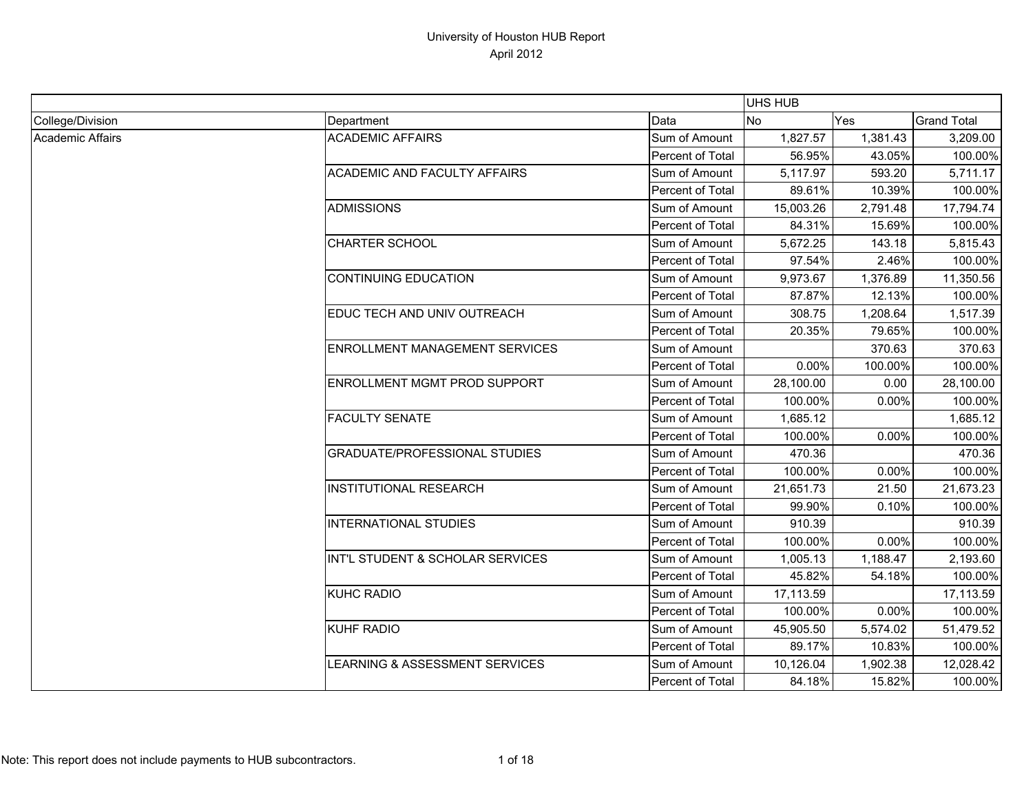|                         |                                       |                  | UHS HUB   |          |                    |
|-------------------------|---------------------------------------|------------------|-----------|----------|--------------------|
| College/Division        | Department                            | Data             | No        | Yes      | <b>Grand Total</b> |
| <b>Academic Affairs</b> | <b>ACADEMIC AFFAIRS</b>               | Sum of Amount    | 1,827.57  | 1,381.43 | 3,209.00           |
|                         |                                       | Percent of Total | 56.95%    | 43.05%   | 100.00%            |
|                         | <b>ACADEMIC AND FACULTY AFFAIRS</b>   | Sum of Amount    | 5,117.97  | 593.20   | 5,711.17           |
|                         |                                       | Percent of Total | 89.61%    | 10.39%   | 100.00%            |
|                         | <b>ADMISSIONS</b>                     | Sum of Amount    | 15,003.26 | 2,791.48 | 17,794.74          |
|                         |                                       | Percent of Total | 84.31%    | 15.69%   | 100.00%            |
|                         | <b>CHARTER SCHOOL</b>                 | Sum of Amount    | 5,672.25  | 143.18   | 5,815.43           |
|                         |                                       | Percent of Total | 97.54%    | 2.46%    | 100.00%            |
|                         | <b>CONTINUING EDUCATION</b>           | Sum of Amount    | 9,973.67  | 1,376.89 | 11,350.56          |
|                         |                                       | Percent of Total | 87.87%    | 12.13%   | 100.00%            |
|                         | EDUC TECH AND UNIV OUTREACH           | Sum of Amount    | 308.75    | 1.208.64 | 1,517.39           |
|                         |                                       | Percent of Total | 20.35%    | 79.65%   | 100.00%            |
|                         | <b>ENROLLMENT MANAGEMENT SERVICES</b> | Sum of Amount    |           | 370.63   | 370.63             |
|                         |                                       | Percent of Total | 0.00%     | 100.00%  | 100.00%            |
|                         | ENROLLMENT MGMT PROD SUPPORT          | Sum of Amount    | 28,100.00 | 0.00     | 28,100.00          |
|                         |                                       | Percent of Total | 100.00%   | 0.00%    | 100.00%            |
|                         | <b>FACULTY SENATE</b>                 | Sum of Amount    | 1,685.12  |          | 1,685.12           |
|                         |                                       | Percent of Total | 100.00%   | 0.00%    | 100.00%            |
|                         | <b>GRADUATE/PROFESSIONAL STUDIES</b>  | Sum of Amount    | 470.36    |          | 470.36             |
|                         |                                       | Percent of Total | 100.00%   | 0.00%    | 100.00%            |
|                         | <b>INSTITUTIONAL RESEARCH</b>         | Sum of Amount    | 21,651.73 | 21.50    | 21,673.23          |
|                         |                                       | Percent of Total | 99.90%    | 0.10%    | 100.00%            |
|                         | <b>INTERNATIONAL STUDIES</b>          | Sum of Amount    | 910.39    |          | 910.39             |
|                         |                                       | Percent of Total | 100.00%   | 0.00%    | 100.00%            |
|                         | INT'L STUDENT & SCHOLAR SERVICES      | Sum of Amount    | 1,005.13  | 1,188.47 | 2,193.60           |
|                         |                                       | Percent of Total | 45.82%    | 54.18%   | 100.00%            |
|                         | <b>KUHC RADIO</b>                     | Sum of Amount    | 17,113.59 |          | 17,113.59          |
|                         |                                       | Percent of Total | 100.00%   | 0.00%    | 100.00%            |
|                         | <b>KUHF RADIO</b>                     | Sum of Amount    | 45,905.50 | 5,574.02 | 51,479.52          |
|                         |                                       | Percent of Total | 89.17%    | 10.83%   | 100.00%            |
|                         | LEARNING & ASSESSMENT SERVICES        | Sum of Amount    | 10,126.04 | 1,902.38 | 12,028.42          |
|                         |                                       | Percent of Total | 84.18%    | 15.82%   | 100.00%            |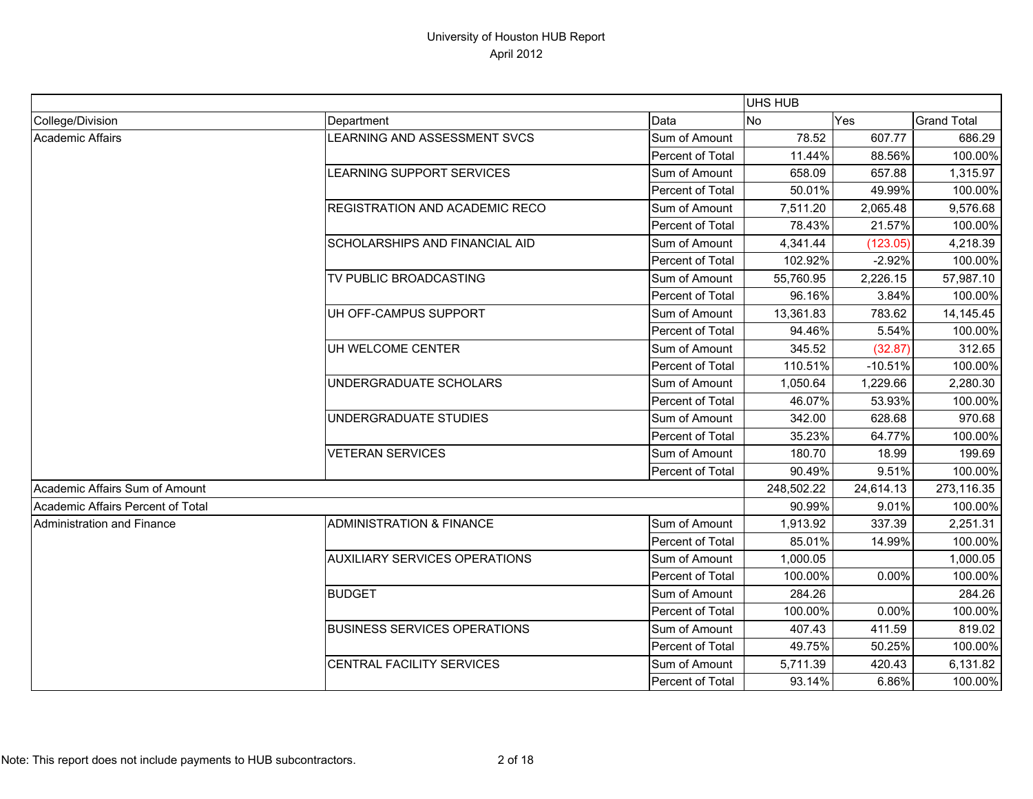|                                   |                                      |                  | <b>UHS HUB</b> |           |                    |
|-----------------------------------|--------------------------------------|------------------|----------------|-----------|--------------------|
| College/Division                  | Department                           | Data             | No             | Yes       | <b>Grand Total</b> |
| Academic Affairs                  | LEARNING AND ASSESSMENT SVCS         | Sum of Amount    | 78.52          | 607.77    | 686.29             |
|                                   |                                      | Percent of Total | 11.44%         | 88.56%    | 100.00%            |
|                                   | LEARNING SUPPORT SERVICES            | Sum of Amount    | 658.09         | 657.88    | 1,315.97           |
|                                   |                                      | Percent of Total | 50.01%         | 49.99%    | 100.00%            |
|                                   | REGISTRATION AND ACADEMIC RECO       | Sum of Amount    | 7,511.20       | 2,065.48  | 9,576.68           |
|                                   |                                      | Percent of Total | 78.43%         | 21.57%    | 100.00%            |
|                                   | SCHOLARSHIPS AND FINANCIAL AID       | Sum of Amount    | 4,341.44       | (123.05)  | 4,218.39           |
|                                   |                                      | Percent of Total | 102.92%        | $-2.92%$  | 100.00%            |
|                                   | TV PUBLIC BROADCASTING               | Sum of Amount    | 55,760.95      | 2,226.15  | 57,987.10          |
|                                   |                                      | Percent of Total | 96.16%         | 3.84%     | 100.00%            |
|                                   | UH OFF-CAMPUS SUPPORT                | Sum of Amount    | 13,361.83      | 783.62    | 14,145.45          |
|                                   |                                      | Percent of Total | 94.46%         | 5.54%     | 100.00%            |
|                                   | UH WELCOME CENTER                    | Sum of Amount    | 345.52         | (32.87)   | 312.65             |
|                                   |                                      | Percent of Total | 110.51%        | $-10.51%$ | 100.00%            |
|                                   | UNDERGRADUATE SCHOLARS               | Sum of Amount    | 1,050.64       | 1,229.66  | 2,280.30           |
|                                   |                                      | Percent of Total | 46.07%         | 53.93%    | 100.00%            |
|                                   | UNDERGRADUATE STUDIES                | Sum of Amount    | 342.00         | 628.68    | 970.68             |
|                                   |                                      | Percent of Total | 35.23%         | 64.77%    | 100.00%            |
|                                   | <b>VETERAN SERVICES</b>              | Sum of Amount    | 180.70         | 18.99     | 199.69             |
|                                   |                                      | Percent of Total | 90.49%         | 9.51%     | 100.00%            |
| Academic Affairs Sum of Amount    |                                      |                  | 248,502.22     | 24,614.13 | 273,116.35         |
| Academic Affairs Percent of Total |                                      |                  | 90.99%         | 9.01%     | 100.00%            |
| Administration and Finance        | <b>ADMINISTRATION &amp; FINANCE</b>  | Sum of Amount    | 1,913.92       | 337.39    | 2,251.31           |
|                                   |                                      | Percent of Total | 85.01%         | 14.99%    | 100.00%            |
|                                   | <b>AUXILIARY SERVICES OPERATIONS</b> | Sum of Amount    | 1,000.05       |           | 1,000.05           |
|                                   |                                      | Percent of Total | 100.00%        | 0.00%     | 100.00%            |
|                                   | <b>BUDGET</b>                        | Sum of Amount    | 284.26         |           | 284.26             |
|                                   |                                      | Percent of Total | 100.00%        | 0.00%     | 100.00%            |
|                                   | <b>BUSINESS SERVICES OPERATIONS</b>  | Sum of Amount    | 407.43         | 411.59    | 819.02             |
|                                   |                                      | Percent of Total | 49.75%         | 50.25%    | 100.00%            |
|                                   | CENTRAL FACILITY SERVICES            | Sum of Amount    | 5,711.39       | 420.43    | 6,131.82           |
|                                   |                                      | Percent of Total | 93.14%         | 6.86%     | 100.00%            |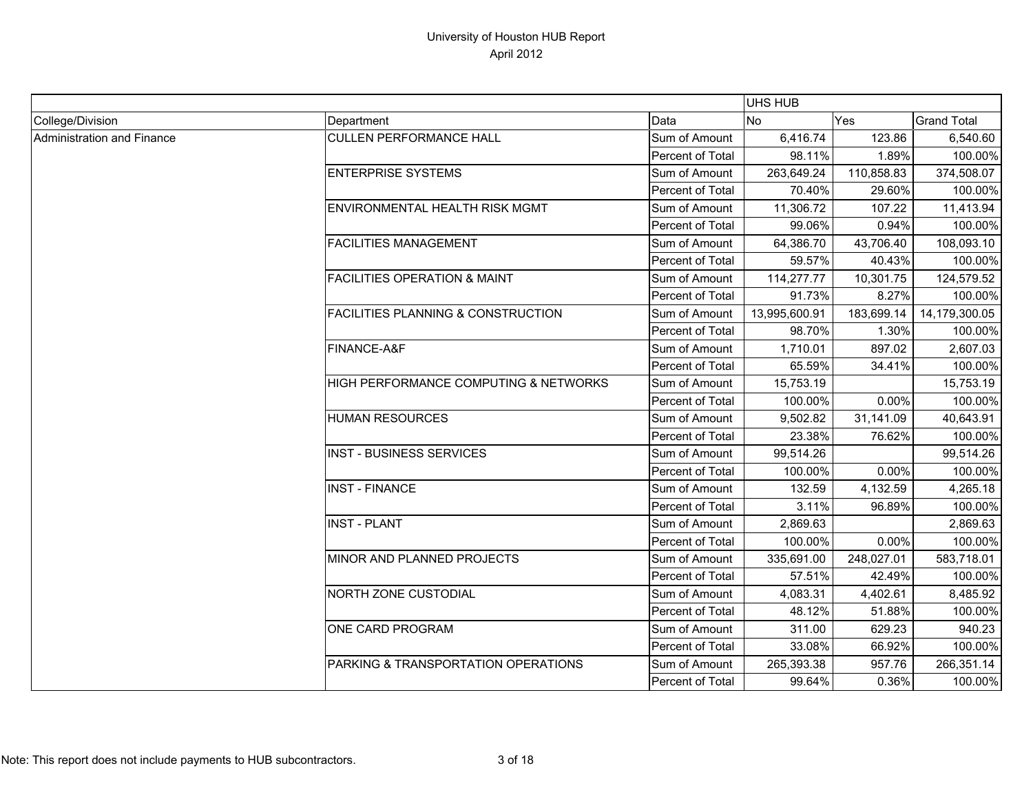|                            |                                               |                  | UHS HUB       |            |                    |
|----------------------------|-----------------------------------------------|------------------|---------------|------------|--------------------|
| College/Division           | Department                                    | Data             | <b>No</b>     | Yes        | <b>Grand Total</b> |
| Administration and Finance | <b>CULLEN PERFORMANCE HALL</b>                | Sum of Amount    | 6,416.74      | 123.86     | 6,540.60           |
|                            |                                               | Percent of Total | 98.11%        | 1.89%      | 100.00%            |
|                            | <b>ENTERPRISE SYSTEMS</b>                     | Sum of Amount    | 263,649.24    | 110,858.83 | 374,508.07         |
|                            |                                               | Percent of Total | 70.40%        | 29.60%     | 100.00%            |
|                            | <b>ENVIRONMENTAL HEALTH RISK MGMT</b>         | Sum of Amount    | 11,306.72     | 107.22     | 11,413.94          |
|                            |                                               | Percent of Total | 99.06%        | 0.94%      | 100.00%            |
|                            | <b>FACILITIES MANAGEMENT</b>                  | Sum of Amount    | 64,386.70     | 43,706.40  | 108,093.10         |
|                            |                                               | Percent of Total | 59.57%        | 40.43%     | 100.00%            |
|                            | <b>FACILITIES OPERATION &amp; MAINT</b>       | Sum of Amount    | 114,277.77    | 10,301.75  | 124,579.52         |
|                            |                                               | Percent of Total | 91.73%        | 8.27%      | 100.00%            |
|                            | <b>FACILITIES PLANNING &amp; CONSTRUCTION</b> | Sum of Amount    | 13,995,600.91 | 183,699.14 | 14,179,300.05      |
|                            |                                               | Percent of Total | 98.70%        | 1.30%      | 100.00%            |
|                            | FINANCE-A&F                                   | Sum of Amount    | 1,710.01      | 897.02     | 2,607.03           |
|                            |                                               | Percent of Total | 65.59%        | 34.41%     | 100.00%            |
|                            | HIGH PERFORMANCE COMPUTING & NETWORKS         | Sum of Amount    | 15,753.19     |            | 15,753.19          |
|                            |                                               | Percent of Total | 100.00%       | 0.00%      | 100.00%            |
|                            | <b>HUMAN RESOURCES</b>                        | Sum of Amount    | 9,502.82      | 31,141.09  | 40,643.91          |
|                            |                                               | Percent of Total | 23.38%        | 76.62%     | 100.00%            |
|                            | <b>INST - BUSINESS SERVICES</b>               | Sum of Amount    | 99,514.26     |            | 99,514.26          |
|                            |                                               | Percent of Total | 100.00%       | 0.00%      | 100.00%            |
|                            | <b>INST - FINANCE</b>                         | Sum of Amount    | 132.59        | 4,132.59   | 4,265.18           |
|                            |                                               | Percent of Total | 3.11%         | 96.89%     | 100.00%            |
|                            | <b>INST - PLANT</b>                           | Sum of Amount    | 2,869.63      |            | 2,869.63           |
|                            |                                               | Percent of Total | 100.00%       | 0.00%      | 100.00%            |
|                            | MINOR AND PLANNED PROJECTS                    | Sum of Amount    | 335,691.00    | 248,027.01 | 583,718.01         |
|                            |                                               | Percent of Total | 57.51%        | 42.49%     | 100.00%            |
|                            | NORTH ZONE CUSTODIAL                          | Sum of Amount    | 4,083.31      | 4,402.61   | 8,485.92           |
|                            |                                               | Percent of Total | 48.12%        | 51.88%     | 100.00%            |
|                            | ONE CARD PROGRAM                              | Sum of Amount    | 311.00        | 629.23     | 940.23             |
|                            |                                               | Percent of Total | 33.08%        | 66.92%     | 100.00%            |
|                            | PARKING & TRANSPORTATION OPERATIONS           | Sum of Amount    | 265,393.38    | 957.76     | 266,351.14         |
|                            |                                               | Percent of Total | 99.64%        | 0.36%      | 100.00%            |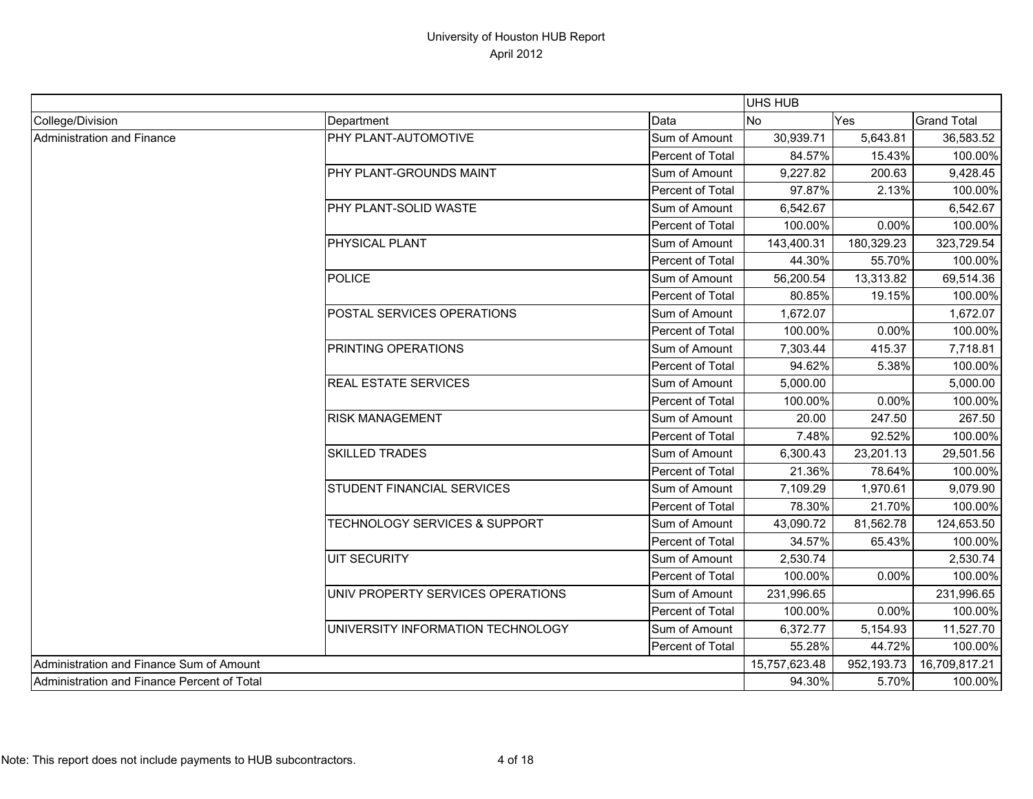|                                             |                                          |                  | UHS HUB        |            |                    |
|---------------------------------------------|------------------------------------------|------------------|----------------|------------|--------------------|
| College/Division                            | Department                               | Data             | N <sub>o</sub> | Yes        | <b>Grand Total</b> |
| Administration and Finance                  | PHY PLANT-AUTOMOTIVE                     | Sum of Amount    | 30,939.71      | 5,643.81   | 36,583.52          |
|                                             |                                          | Percent of Total | 84.57%         | 15.43%     | 100.00%            |
|                                             | PHY PLANT-GROUNDS MAINT                  | Sum of Amount    | 9,227.82       | 200.63     | 9,428.45           |
|                                             |                                          | Percent of Total | 97.87%         | 2.13%      | 100.00%            |
|                                             | PHY PLANT-SOLID WASTE                    | Sum of Amount    | 6,542.67       |            | 6,542.67           |
|                                             |                                          | Percent of Total | 100.00%        | 0.00%      | 100.00%            |
|                                             | PHYSICAL PLANT                           | Sum of Amount    | 143,400.31     | 180,329.23 | 323,729.54         |
|                                             |                                          | Percent of Total | 44.30%         | 55.70%     | 100.00%            |
|                                             | <b>POLICE</b>                            | Sum of Amount    | 56,200.54      | 13,313.82  | 69,514.36          |
|                                             |                                          | Percent of Total | 80.85%         | 19.15%     | 100.00%            |
|                                             | POSTAL SERVICES OPERATIONS               | Sum of Amount    | 1,672.07       |            | 1,672.07           |
|                                             |                                          | Percent of Total | 100.00%        | 0.00%      | 100.00%            |
|                                             | PRINTING OPERATIONS                      | Sum of Amount    | 7,303.44       | 415.37     | 7,718.81           |
|                                             |                                          | Percent of Total | 94.62%         | 5.38%      | 100.00%            |
|                                             | <b>REAL ESTATE SERVICES</b>              | Sum of Amount    | 5,000.00       |            | 5,000.00           |
|                                             |                                          | Percent of Total | 100.00%        | 0.00%      | 100.00%            |
|                                             | <b>RISK MANAGEMENT</b>                   | Sum of Amount    | 20.00          | 247.50     | 267.50             |
|                                             |                                          | Percent of Total | 7.48%          | 92.52%     | 100.00%            |
|                                             | <b>SKILLED TRADES</b>                    | Sum of Amount    | 6,300.43       | 23,201.13  | 29,501.56          |
|                                             |                                          | Percent of Total | 21.36%         | 78.64%     | 100.00%            |
|                                             | STUDENT FINANCIAL SERVICES               | Sum of Amount    | 7,109.29       | 1,970.61   | 9,079.90           |
|                                             |                                          | Percent of Total | 78.30%         | 21.70%     | 100.00%            |
|                                             | <b>TECHNOLOGY SERVICES &amp; SUPPORT</b> | Sum of Amount    | 43,090.72      | 81,562.78  | 124,653.50         |
|                                             |                                          | Percent of Total | 34.57%         | 65.43%     | 100.00%            |
|                                             | <b>UIT SECURITY</b>                      | Sum of Amount    | 2,530.74       |            | 2,530.74           |
|                                             |                                          | Percent of Total | 100.00%        | 0.00%      | 100.00%            |
|                                             | UNIV PROPERTY SERVICES OPERATIONS        | Sum of Amount    | 231,996.65     |            | 231,996.65         |
|                                             |                                          | Percent of Total | 100.00%        | 0.00%      | 100.00%            |
|                                             | UNIVERSITY INFORMATION TECHNOLOGY        | Sum of Amount    | 6,372.77       | 5,154.93   | 11,527.70          |
|                                             |                                          | Percent of Total | 55.28%         | 44.72%     | 100.00%            |
| Administration and Finance Sum of Amount    |                                          |                  | 15,757,623.48  | 952,193.73 | 16,709,817.21      |
| Administration and Finance Percent of Total |                                          | 94.30%           | 5.70%          | 100.00%    |                    |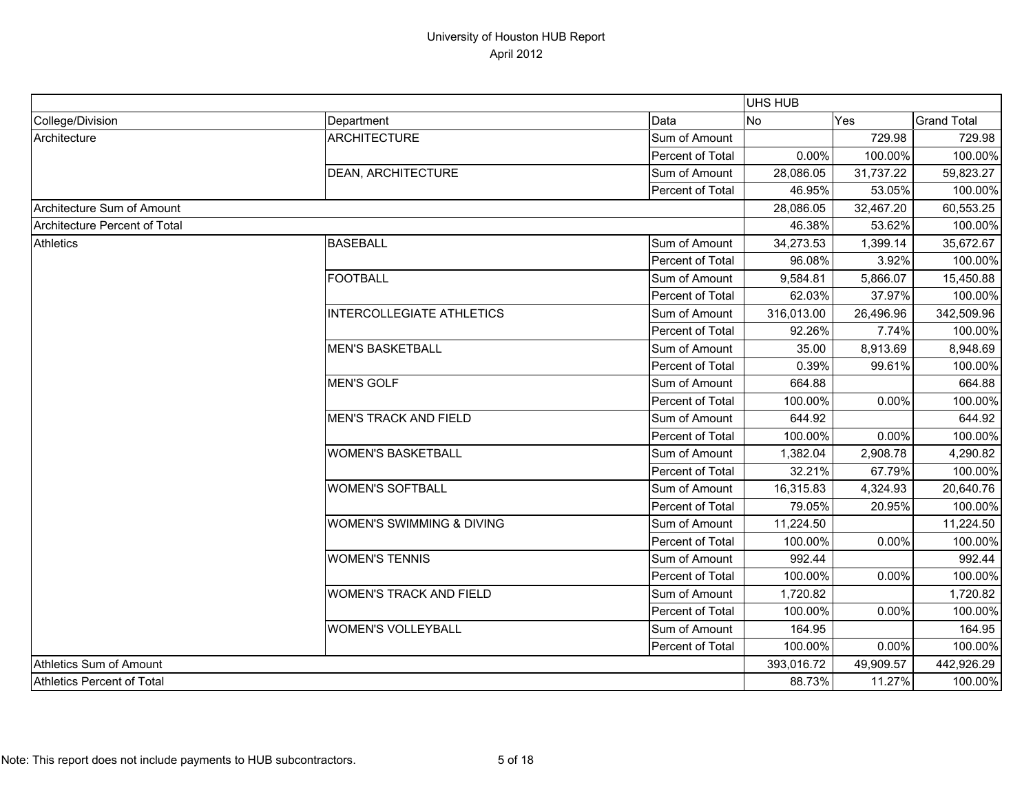|                               |                                  |                  | <b>UHS HUB</b> |           |                    |
|-------------------------------|----------------------------------|------------------|----------------|-----------|--------------------|
| College/Division              | Department                       | Data             | No             | Yes       | <b>Grand Total</b> |
| Architecture                  | <b>ARCHITECTURE</b>              | Sum of Amount    |                | 729.98    | 729.98             |
|                               |                                  | Percent of Total | 0.00%          | 100.00%   | 100.00%            |
|                               | <b>DEAN, ARCHITECTURE</b>        | Sum of Amount    | 28,086.05      | 31,737.22 | 59,823.27          |
|                               |                                  | Percent of Total | 46.95%         | 53.05%    | 100.00%            |
| Architecture Sum of Amount    |                                  |                  | 28,086.05      | 32,467.20 | 60,553.25          |
| Architecture Percent of Total |                                  |                  | 46.38%         | 53.62%    | 100.00%            |
| <b>Athletics</b>              | <b>BASEBALL</b>                  | Sum of Amount    | 34,273.53      | 1,399.14  | 35,672.67          |
|                               |                                  | Percent of Total | 96.08%         | 3.92%     | 100.00%            |
|                               | <b>FOOTBALL</b>                  | Sum of Amount    | 9,584.81       | 5,866.07  | 15,450.88          |
|                               |                                  | Percent of Total | 62.03%         | 37.97%    | 100.00%            |
|                               | <b>INTERCOLLEGIATE ATHLETICS</b> | Sum of Amount    | 316,013.00     | 26,496.96 | 342,509.96         |
|                               |                                  | Percent of Total | 92.26%         | 7.74%     | 100.00%            |
|                               | <b>MEN'S BASKETBALL</b>          | Sum of Amount    | 35.00          | 8,913.69  | 8,948.69           |
|                               |                                  | Percent of Total | 0.39%          | 99.61%    | 100.00%            |
|                               | <b>MEN'S GOLF</b>                | Sum of Amount    | 664.88         |           | 664.88             |
|                               |                                  | Percent of Total | 100.00%        | 0.00%     | 100.00%            |
|                               | <b>MEN'S TRACK AND FIELD</b>     | Sum of Amount    | 644.92         |           | 644.92             |
|                               |                                  | Percent of Total | 100.00%        | 0.00%     | 100.00%            |
|                               | <b>WOMEN'S BASKETBALL</b>        | Sum of Amount    | 1,382.04       | 2,908.78  | 4,290.82           |
|                               |                                  | Percent of Total | 32.21%         | 67.79%    | 100.00%            |
|                               | <b>WOMEN'S SOFTBALL</b>          | Sum of Amount    | 16,315.83      | 4,324.93  | 20,640.76          |
|                               |                                  | Percent of Total | 79.05%         | 20.95%    | 100.00%            |
|                               | WOMEN'S SWIMMING & DIVING        | Sum of Amount    | 11,224.50      |           | 11,224.50          |
|                               |                                  | Percent of Total | 100.00%        | 0.00%     | 100.00%            |
|                               | <b>WOMEN'S TENNIS</b>            | Sum of Amount    | 992.44         |           | 992.44             |
|                               |                                  | Percent of Total | 100.00%        | 0.00%     | 100.00%            |
|                               | <b>WOMEN'S TRACK AND FIELD</b>   | Sum of Amount    | 1,720.82       |           | 1,720.82           |
|                               |                                  | Percent of Total | 100.00%        | 0.00%     | 100.00%            |
|                               | <b>WOMEN'S VOLLEYBALL</b>        | Sum of Amount    | 164.95         |           | 164.95             |
|                               |                                  | Percent of Total | 100.00%        | 0.00%     | 100.00%            |
| Athletics Sum of Amount       |                                  |                  | 393,016.72     | 49,909.57 | 442,926.29         |
| Athletics Percent of Total    |                                  |                  | 88.73%         | 11.27%    | 100.00%            |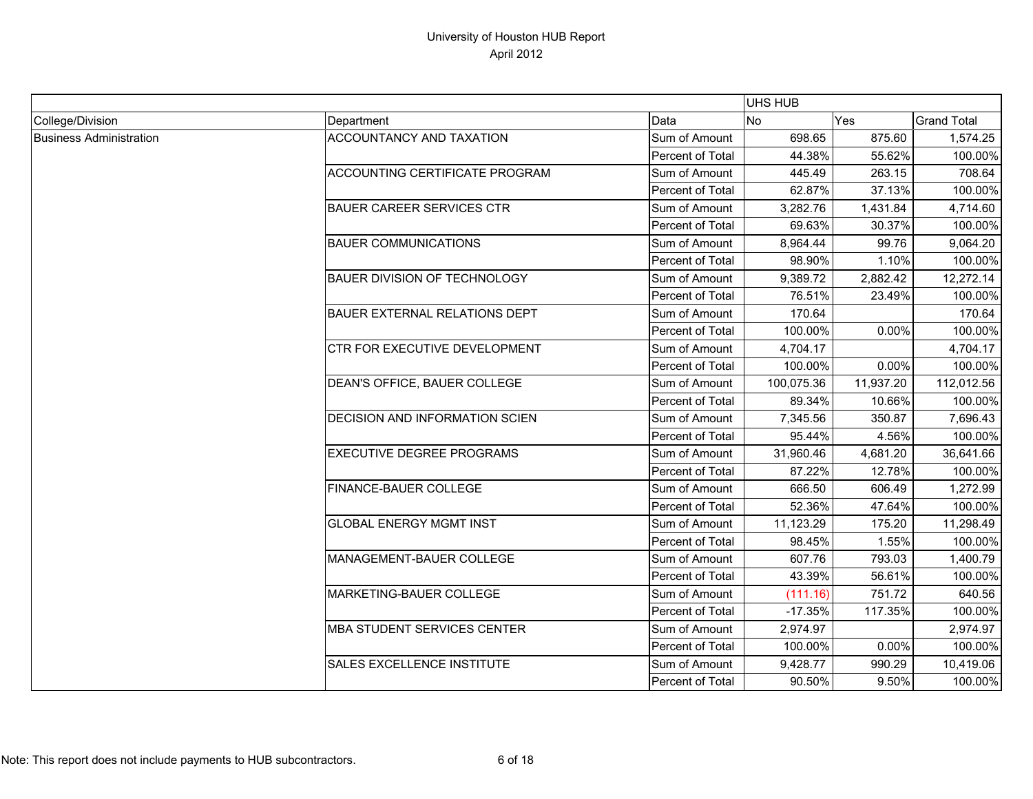|                                |                                       |                  | UHS HUB    |           |                    |
|--------------------------------|---------------------------------------|------------------|------------|-----------|--------------------|
| College/Division               | Department                            | Data             | No         | Yes       | <b>Grand Total</b> |
| <b>Business Administration</b> | ACCOUNTANCY AND TAXATION              | Sum of Amount    | 698.65     | 875.60    | 1,574.25           |
|                                |                                       | Percent of Total | 44.38%     | 55.62%    | 100.00%            |
|                                | <b>ACCOUNTING CERTIFICATE PROGRAM</b> | Sum of Amount    | 445.49     | 263.15    | 708.64             |
|                                |                                       | Percent of Total | 62.87%     | 37.13%    | 100.00%            |
|                                | <b>BAUER CAREER SERVICES CTR</b>      | Sum of Amount    | 3,282.76   | 1,431.84  | 4,714.60           |
|                                |                                       | Percent of Total | 69.63%     | 30.37%    | 100.00%            |
|                                | <b>BAUER COMMUNICATIONS</b>           | Sum of Amount    | 8,964.44   | 99.76     | 9,064.20           |
|                                |                                       | Percent of Total | 98.90%     | 1.10%     | 100.00%            |
|                                | <b>BAUER DIVISION OF TECHNOLOGY</b>   | Sum of Amount    | 9,389.72   | 2,882.42  | 12,272.14          |
|                                |                                       | Percent of Total | 76.51%     | 23.49%    | 100.00%            |
|                                | BAUER EXTERNAL RELATIONS DEPT         | Sum of Amount    | 170.64     |           | 170.64             |
|                                |                                       | Percent of Total | 100.00%    | $0.00\%$  | 100.00%            |
|                                | CTR FOR EXECUTIVE DEVELOPMENT         | Sum of Amount    | 4,704.17   |           | 4,704.17           |
|                                |                                       | Percent of Total | 100.00%    | 0.00%     | 100.00%            |
|                                | DEAN'S OFFICE, BAUER COLLEGE          | Sum of Amount    | 100,075.36 | 11,937.20 | 112,012.56         |
|                                |                                       | Percent of Total | 89.34%     | 10.66%    | 100.00%            |
|                                | DECISION AND INFORMATION SCIEN        | Sum of Amount    | 7,345.56   | 350.87    | 7,696.43           |
|                                |                                       | Percent of Total | 95.44%     | 4.56%     | 100.00%            |
|                                | <b>EXECUTIVE DEGREE PROGRAMS</b>      | Sum of Amount    | 31,960.46  | 4,681.20  | 36,641.66          |
|                                |                                       | Percent of Total | 87.22%     | 12.78%    | 100.00%            |
|                                | FINANCE-BAUER COLLEGE                 | Sum of Amount    | 666.50     | 606.49    | 1,272.99           |
|                                |                                       | Percent of Total | 52.36%     | 47.64%    | 100.00%            |
|                                | <b>GLOBAL ENERGY MGMT INST</b>        | Sum of Amount    | 11,123.29  | 175.20    | 11,298.49          |
|                                |                                       | Percent of Total | 98.45%     | 1.55%     | 100.00%            |
|                                | MANAGEMENT-BAUER COLLEGE              | Sum of Amount    | 607.76     | 793.03    | 1,400.79           |
|                                |                                       | Percent of Total | 43.39%     | 56.61%    | 100.00%            |
|                                | MARKETING-BAUER COLLEGE               | Sum of Amount    | (111.16)   | 751.72    | 640.56             |
|                                |                                       | Percent of Total | $-17.35%$  | 117.35%   | 100.00%            |
|                                | MBA STUDENT SERVICES CENTER           | Sum of Amount    | 2,974.97   |           | 2,974.97           |
|                                |                                       | Percent of Total | 100.00%    | 0.00%     | 100.00%            |
|                                | SALES EXCELLENCE INSTITUTE            | Sum of Amount    | 9,428.77   | 990.29    | 10,419.06          |
|                                |                                       | Percent of Total | 90.50%     | 9.50%     | 100.00%            |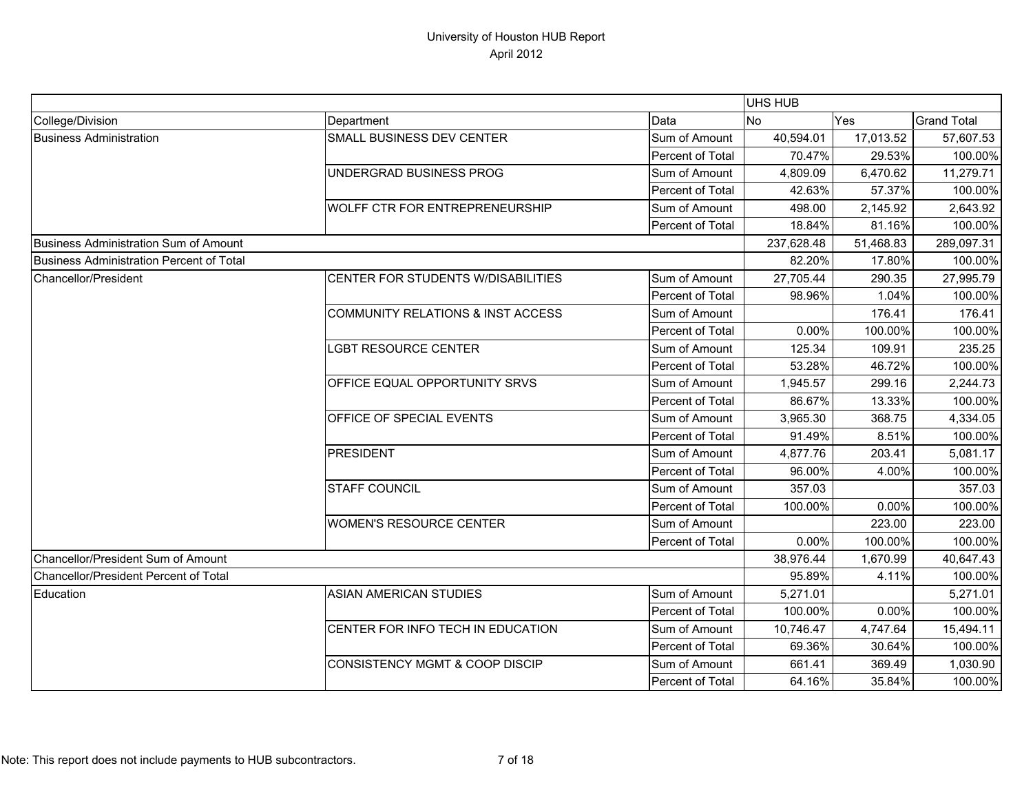|                                                 |                                              |                         | UHS HUB    |           |                    |
|-------------------------------------------------|----------------------------------------------|-------------------------|------------|-----------|--------------------|
| College/Division                                | Department                                   | Data                    | <b>No</b>  | Yes       | <b>Grand Total</b> |
| <b>Business Administration</b>                  | SMALL BUSINESS DEV CENTER                    | Sum of Amount           | 40,594.01  | 17,013.52 | 57,607.53          |
|                                                 |                                              | Percent of Total        | 70.47%     | 29.53%    | 100.00%            |
|                                                 | UNDERGRAD BUSINESS PROG                      | Sum of Amount           | 4,809.09   | 6,470.62  | 11,279.71          |
|                                                 |                                              | Percent of Total        | 42.63%     | 57.37%    | 100.00%            |
|                                                 | <b>WOLFF CTR FOR ENTREPRENEURSHIP</b>        | Sum of Amount           | 498.00     | 2,145.92  | 2,643.92           |
|                                                 |                                              | Percent of Total        | 18.84%     | 81.16%    | 100.00%            |
| <b>Business Administration Sum of Amount</b>    |                                              |                         | 237,628.48 | 51,468.83 | 289,097.31         |
| <b>Business Administration Percent of Total</b> |                                              |                         | 82.20%     | 17.80%    | 100.00%            |
| <b>Chancellor/President</b>                     | CENTER FOR STUDENTS W/DISABILITIES           | Sum of Amount           | 27,705.44  | 290.35    | 27,995.79          |
|                                                 |                                              | Percent of Total        | 98.96%     | 1.04%     | 100.00%            |
|                                                 | <b>COMMUNITY RELATIONS &amp; INST ACCESS</b> | Sum of Amount           |            | 176.41    | 176.41             |
|                                                 |                                              | Percent of Total        | 0.00%      | 100.00%   | 100.00%            |
|                                                 | <b>LGBT RESOURCE CENTER</b>                  | Sum of Amount           | 125.34     | 109.91    | 235.25             |
|                                                 |                                              | Percent of Total        | 53.28%     | 46.72%    | 100.00%            |
|                                                 | OFFICE EQUAL OPPORTUNITY SRVS                | Sum of Amount           | 1,945.57   | 299.16    | 2,244.73           |
|                                                 |                                              | Percent of Total        | 86.67%     | 13.33%    | 100.00%            |
|                                                 | OFFICE OF SPECIAL EVENTS                     | Sum of Amount           | 3,965.30   | 368.75    | 4,334.05           |
|                                                 |                                              | Percent of Total        | 91.49%     | 8.51%     | 100.00%            |
|                                                 | <b>PRESIDENT</b>                             | Sum of Amount           | 4,877.76   | 203.41    | 5,081.17           |
|                                                 |                                              | Percent of Total        | 96.00%     | 4.00%     | 100.00%            |
|                                                 | <b>STAFF COUNCIL</b>                         | Sum of Amount           | 357.03     |           | 357.03             |
|                                                 |                                              | Percent of Total        | 100.00%    | 0.00%     | 100.00%            |
|                                                 | <b>WOMEN'S RESOURCE CENTER</b>               | Sum of Amount           |            | 223.00    | 223.00             |
|                                                 |                                              | Percent of Total        | 0.00%      | 100.00%   | 100.00%            |
| Chancellor/President Sum of Amount              |                                              |                         | 38,976.44  | 1,670.99  | 40,647.43          |
| <b>Chancellor/President Percent of Total</b>    |                                              |                         | 95.89%     | 4.11%     | 100.00%            |
| Education                                       | <b>ASIAN AMERICAN STUDIES</b>                | Sum of Amount           | 5,271.01   |           | 5,271.01           |
|                                                 |                                              | Percent of Total        | 100.00%    | 0.00%     | 100.00%            |
|                                                 | CENTER FOR INFO TECH IN EDUCATION            | Sum of Amount           | 10,746.47  | 4,747.64  | 15,494.11          |
|                                                 |                                              | Percent of Total        | 69.36%     | 30.64%    | 100.00%            |
|                                                 | <b>CONSISTENCY MGMT &amp; COOP DISCIP</b>    | Sum of Amount           | 661.41     | 369.49    | 1,030.90           |
|                                                 |                                              | <b>Percent of Total</b> | 64.16%     | 35.84%    | 100.00%            |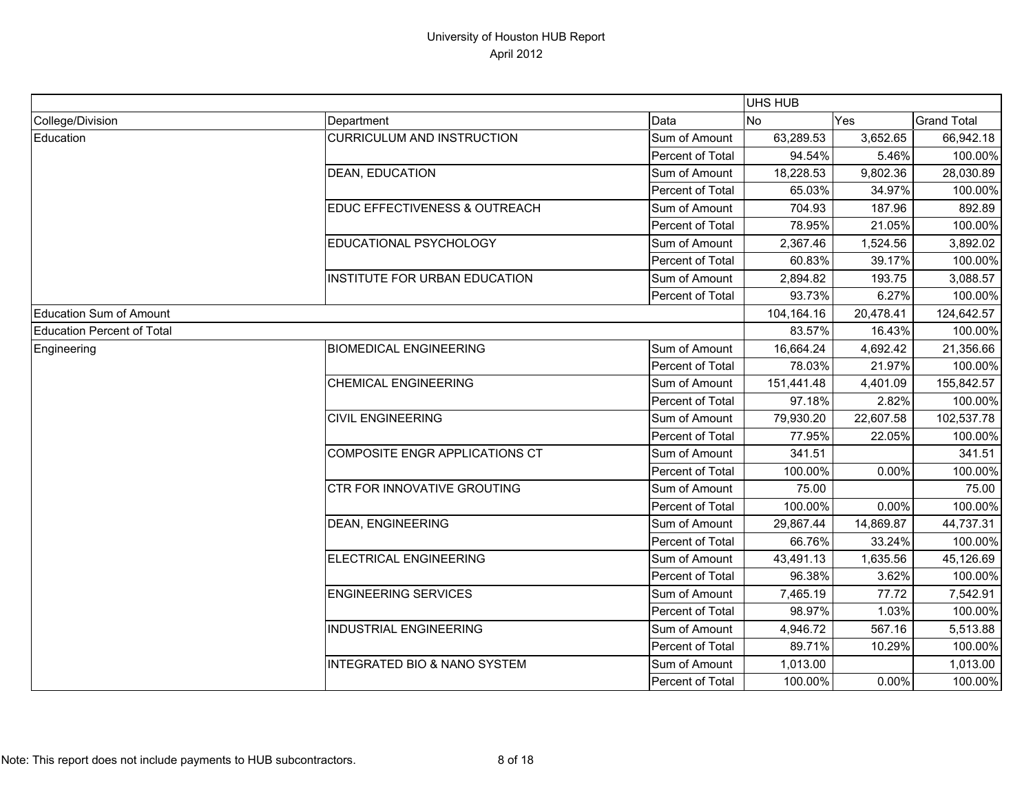|                                   |                                   |                  | <b>UHS HUB</b> |           |                    |
|-----------------------------------|-----------------------------------|------------------|----------------|-----------|--------------------|
| College/Division                  | Department                        | Data             | <b>No</b>      | Yes       | <b>Grand Total</b> |
| Education                         | <b>CURRICULUM AND INSTRUCTION</b> | Sum of Amount    | 63,289.53      | 3,652.65  | 66,942.18          |
|                                   |                                   | Percent of Total | 94.54%         | 5.46%     | 100.00%            |
|                                   | <b>DEAN, EDUCATION</b>            | Sum of Amount    | 18,228.53      | 9,802.36  | 28,030.89          |
|                                   |                                   | Percent of Total | 65.03%         | 34.97%    | 100.00%            |
|                                   | EDUC EFFECTIVENESS & OUTREACH     | Sum of Amount    | 704.93         | 187.96    | 892.89             |
|                                   |                                   | Percent of Total | 78.95%         | 21.05%    | 100.00%            |
|                                   | EDUCATIONAL PSYCHOLOGY            | Sum of Amount    | 2,367.46       | 1,524.56  | 3,892.02           |
|                                   |                                   | Percent of Total | 60.83%         | 39.17%    | 100.00%            |
|                                   | INSTITUTE FOR URBAN EDUCATION     | Sum of Amount    | 2,894.82       | 193.75    | 3,088.57           |
|                                   |                                   | Percent of Total | 93.73%         | 6.27%     | 100.00%            |
| <b>Education Sum of Amount</b>    |                                   |                  | 104,164.16     | 20,478.41 | 124,642.57         |
| <b>Education Percent of Total</b> |                                   |                  | 83.57%         | 16.43%    | 100.00%            |
| Engineering                       | <b>BIOMEDICAL ENGINEERING</b>     | Sum of Amount    | 16,664.24      | 4,692.42  | 21,356.66          |
|                                   |                                   | Percent of Total | 78.03%         | 21.97%    | 100.00%            |
|                                   | <b>CHEMICAL ENGINEERING</b>       | Sum of Amount    | 151,441.48     | 4,401.09  | 155,842.57         |
|                                   |                                   | Percent of Total | 97.18%         | 2.82%     | 100.00%            |
|                                   | <b>CIVIL ENGINEERING</b>          | Sum of Amount    | 79,930.20      | 22,607.58 | 102,537.78         |
|                                   |                                   | Percent of Total | 77.95%         | 22.05%    | 100.00%            |
|                                   | COMPOSITE ENGR APPLICATIONS CT    | Sum of Amount    | 341.51         |           | 341.51             |
|                                   |                                   | Percent of Total | 100.00%        | $0.00\%$  | 100.00%            |
|                                   | CTR FOR INNOVATIVE GROUTING       | Sum of Amount    | 75.00          |           | 75.00              |
|                                   |                                   | Percent of Total | 100.00%        | 0.00%     | 100.00%            |
|                                   | <b>DEAN, ENGINEERING</b>          | Sum of Amount    | 29,867.44      | 14,869.87 | 44,737.31          |
|                                   |                                   | Percent of Total | 66.76%         | 33.24%    | 100.00%            |
|                                   | ELECTRICAL ENGINEERING            | Sum of Amount    | 43,491.13      | 1,635.56  | 45,126.69          |
|                                   |                                   | Percent of Total | 96.38%         | 3.62%     | 100.00%            |
|                                   | <b>ENGINEERING SERVICES</b>       | Sum of Amount    | 7,465.19       | 77.72     | 7,542.91           |
|                                   |                                   | Percent of Total | 98.97%         | 1.03%     | 100.00%            |
|                                   | <b>INDUSTRIAL ENGINEERING</b>     | Sum of Amount    | 4,946.72       | 567.16    | 5,513.88           |
|                                   |                                   | Percent of Total | 89.71%         | 10.29%    | 100.00%            |
|                                   | INTEGRATED BIO & NANO SYSTEM      | Sum of Amount    | 1,013.00       |           | 1,013.00           |
|                                   |                                   | Percent of Total | 100.00%        | 0.00%     | 100.00%            |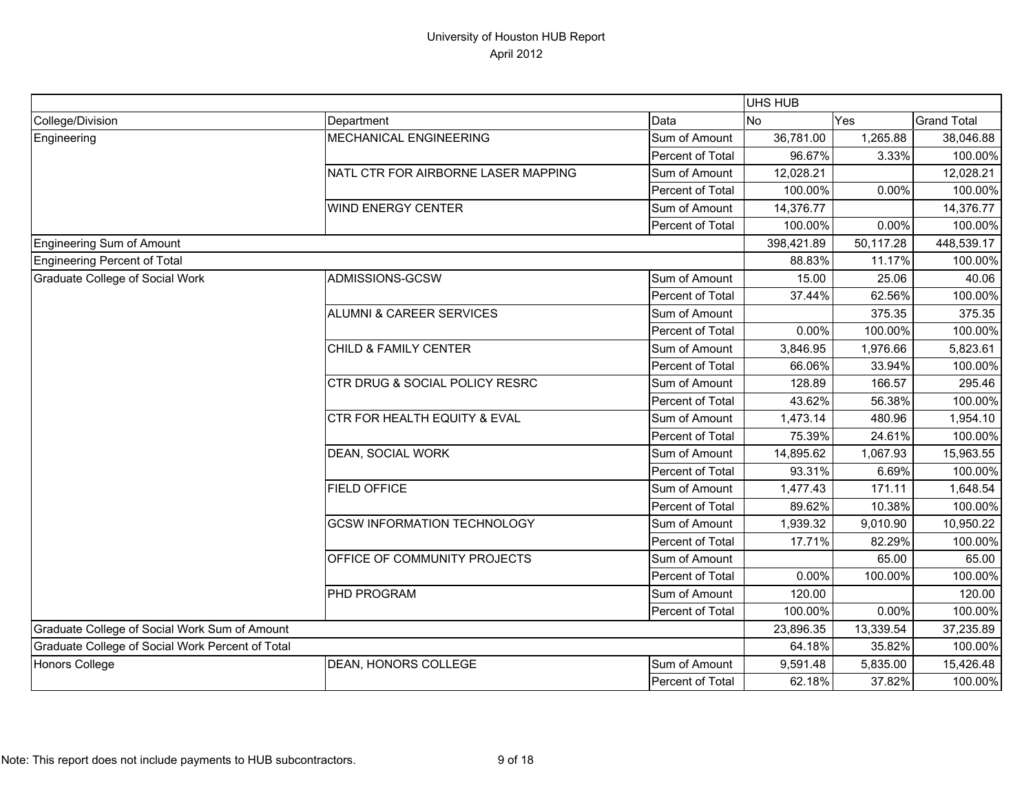|                                                  |                                           |                  | UHS HUB    |           |                    |
|--------------------------------------------------|-------------------------------------------|------------------|------------|-----------|--------------------|
| College/Division                                 | Department                                | Data             | <b>No</b>  | Yes       | <b>Grand Total</b> |
| Engineering                                      | MECHANICAL ENGINEERING                    | Sum of Amount    | 36,781.00  | 1,265.88  | 38,046.88          |
|                                                  |                                           | Percent of Total | 96.67%     | 3.33%     | 100.00%            |
|                                                  | NATL CTR FOR AIRBORNE LASER MAPPING       | Sum of Amount    | 12,028.21  |           | 12,028.21          |
|                                                  |                                           | Percent of Total | 100.00%    | 0.00%     | 100.00%            |
|                                                  | <b>WIND ENERGY CENTER</b>                 | Sum of Amount    | 14,376.77  |           | 14,376.77          |
|                                                  |                                           | Percent of Total | 100.00%    | 0.00%     | 100.00%            |
| <b>Engineering Sum of Amount</b>                 |                                           |                  | 398,421.89 | 50,117.28 | 448,539.17         |
| <b>Engineering Percent of Total</b>              |                                           |                  | 88.83%     | 11.17%    | 100.00%            |
| <b>Graduate College of Social Work</b>           | ADMISSIONS-GCSW                           | Sum of Amount    | 15.00      | 25.06     | 40.06              |
|                                                  |                                           | Percent of Total | 37.44%     | 62.56%    | 100.00%            |
|                                                  | <b>ALUMNI &amp; CAREER SERVICES</b>       | Sum of Amount    |            | 375.35    | 375.35             |
|                                                  |                                           | Percent of Total | 0.00%      | 100.00%   | 100.00%            |
|                                                  | CHILD & FAMILY CENTER                     | Sum of Amount    | 3,846.95   | 1,976.66  | 5,823.61           |
|                                                  |                                           | Percent of Total | 66.06%     | 33.94%    | 100.00%            |
|                                                  | <b>CTR DRUG &amp; SOCIAL POLICY RESRC</b> | Sum of Amount    | 128.89     | 166.57    | 295.46             |
|                                                  |                                           | Percent of Total | 43.62%     | 56.38%    | 100.00%            |
|                                                  | CTR FOR HEALTH EQUITY & EVAL              | Sum of Amount    | 1,473.14   | 480.96    | 1,954.10           |
|                                                  |                                           | Percent of Total | 75.39%     | 24.61%    | 100.00%            |
|                                                  | DEAN, SOCIAL WORK                         | Sum of Amount    | 14,895.62  | 1,067.93  | 15,963.55          |
|                                                  |                                           | Percent of Total | 93.31%     | 6.69%     | 100.00%            |
|                                                  | <b>FIELD OFFICE</b>                       | Sum of Amount    | 1,477.43   | 171.11    | 1,648.54           |
|                                                  |                                           | Percent of Total | 89.62%     | 10.38%    | 100.00%            |
|                                                  | <b>GCSW INFORMATION TECHNOLOGY</b>        | Sum of Amount    | 1,939.32   | 9,010.90  | 10,950.22          |
|                                                  |                                           | Percent of Total | 17.71%     | 82.29%    | 100.00%            |
|                                                  | OFFICE OF COMMUNITY PROJECTS              | Sum of Amount    |            | 65.00     | 65.00              |
|                                                  |                                           | Percent of Total | 0.00%      | 100.00%   | 100.00%            |
|                                                  | <b>PHD PROGRAM</b>                        | Sum of Amount    | 120.00     |           | 120.00             |
|                                                  |                                           | Percent of Total | 100.00%    | 0.00%     | 100.00%            |
| Graduate College of Social Work Sum of Amount    |                                           |                  | 23,896.35  | 13,339.54 | 37,235.89          |
| Graduate College of Social Work Percent of Total |                                           |                  | 64.18%     | 35.82%    | 100.00%            |
| <b>Honors College</b>                            | DEAN, HONORS COLLEGE                      | Sum of Amount    | 9,591.48   | 5,835.00  | 15,426.48          |
|                                                  |                                           | Percent of Total | 62.18%     | 37.82%    | 100.00%            |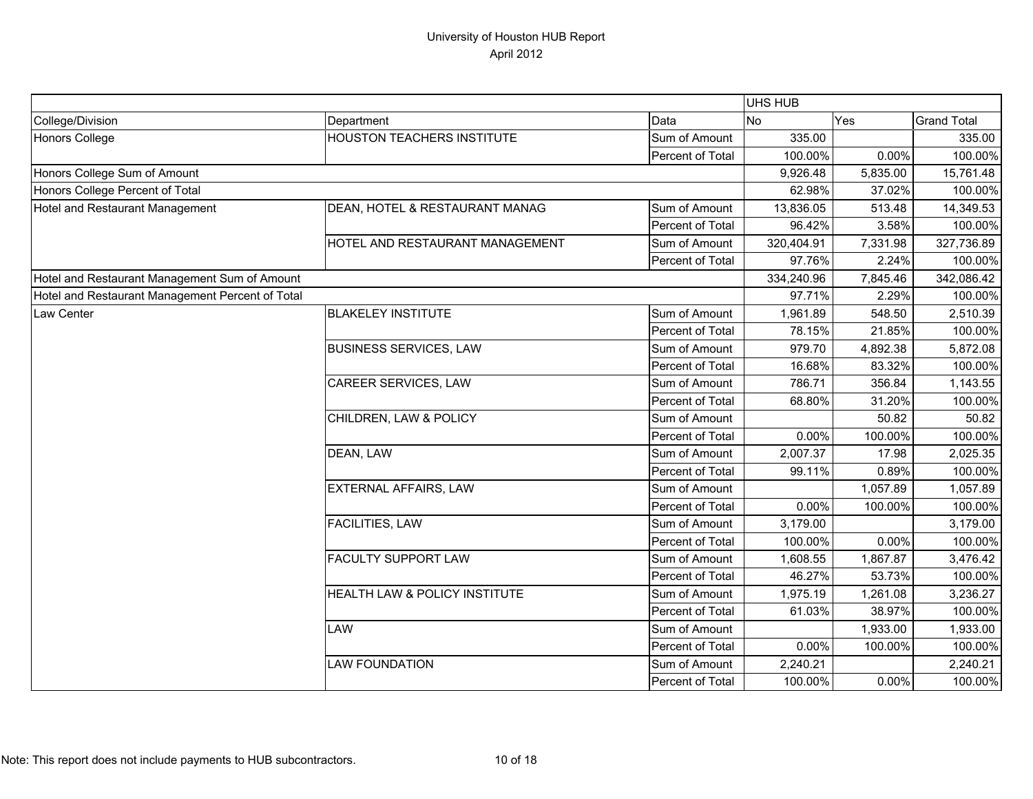|                                                  |                                   |                  | <b>UHS HUB</b> |          |                    |
|--------------------------------------------------|-----------------------------------|------------------|----------------|----------|--------------------|
| College/Division                                 | Department                        | Data             | <b>No</b>      | Yes      | <b>Grand Total</b> |
| <b>Honors College</b>                            | <b>HOUSTON TEACHERS INSTITUTE</b> | Sum of Amount    | 335.00         |          | 335.00             |
|                                                  |                                   | Percent of Total | 100.00%        | 0.00%    | 100.00%            |
| Honors College Sum of Amount                     |                                   |                  | 9,926.48       | 5,835.00 | 15,761.48          |
| Honors College Percent of Total                  |                                   |                  | 62.98%         | 37.02%   | 100.00%            |
| Hotel and Restaurant Management                  | DEAN, HOTEL & RESTAURANT MANAG    | Sum of Amount    | 13,836.05      | 513.48   | 14,349.53          |
|                                                  |                                   | Percent of Total | 96.42%         | 3.58%    | 100.00%            |
|                                                  | HOTEL AND RESTAURANT MANAGEMENT   | Sum of Amount    | 320,404.91     | 7,331.98 | 327,736.89         |
|                                                  |                                   | Percent of Total | 97.76%         | 2.24%    | 100.00%            |
| Hotel and Restaurant Management Sum of Amount    |                                   |                  | 334,240.96     | 7,845.46 | 342,086.42         |
| Hotel and Restaurant Management Percent of Total |                                   |                  | 97.71%         | 2.29%    | 100.00%            |
| Law Center                                       | <b>BLAKELEY INSTITUTE</b>         | Sum of Amount    | 1,961.89       | 548.50   | 2,510.39           |
|                                                  |                                   | Percent of Total | 78.15%         | 21.85%   | 100.00%            |
|                                                  | <b>BUSINESS SERVICES, LAW</b>     | Sum of Amount    | 979.70         | 4,892.38 | 5,872.08           |
|                                                  |                                   | Percent of Total | 16.68%         | 83.32%   | 100.00%            |
|                                                  | CAREER SERVICES, LAW              | Sum of Amount    | 786.71         | 356.84   | 1,143.55           |
|                                                  |                                   | Percent of Total | 68.80%         | 31.20%   | 100.00%            |
|                                                  | CHILDREN, LAW & POLICY            | Sum of Amount    |                | 50.82    | 50.82              |
|                                                  |                                   | Percent of Total | 0.00%          | 100.00%  | 100.00%            |
|                                                  | DEAN, LAW                         | Sum of Amount    | 2,007.37       | 17.98    | 2,025.35           |
|                                                  |                                   | Percent of Total | 99.11%         | 0.89%    | 100.00%            |
|                                                  | EXTERNAL AFFAIRS, LAW             | Sum of Amount    |                | 1,057.89 | 1,057.89           |
|                                                  |                                   | Percent of Total | 0.00%          | 100.00%  | 100.00%            |
|                                                  | <b>FACILITIES, LAW</b>            | Sum of Amount    | 3,179.00       |          | 3,179.00           |
|                                                  |                                   | Percent of Total | 100.00%        | 0.00%    | 100.00%            |
|                                                  | <b>FACULTY SUPPORT LAW</b>        | Sum of Amount    | 1,608.55       | 1,867.87 | 3,476.42           |
|                                                  |                                   | Percent of Total | 46.27%         | 53.73%   | 100.00%            |
|                                                  | HEALTH LAW & POLICY INSTITUTE     | Sum of Amount    | 1,975.19       | 1,261.08 | 3,236.27           |
|                                                  |                                   | Percent of Total | 61.03%         | 38.97%   | 100.00%            |
|                                                  | LAW                               | Sum of Amount    |                | 1,933.00 | 1,933.00           |
|                                                  |                                   | Percent of Total | $0.00\%$       | 100.00%  | 100.00%            |
|                                                  | <b>LAW FOUNDATION</b>             | Sum of Amount    | 2,240.21       |          | 2,240.21           |
|                                                  |                                   | Percent of Total | 100.00%        | 0.00%    | 100.00%            |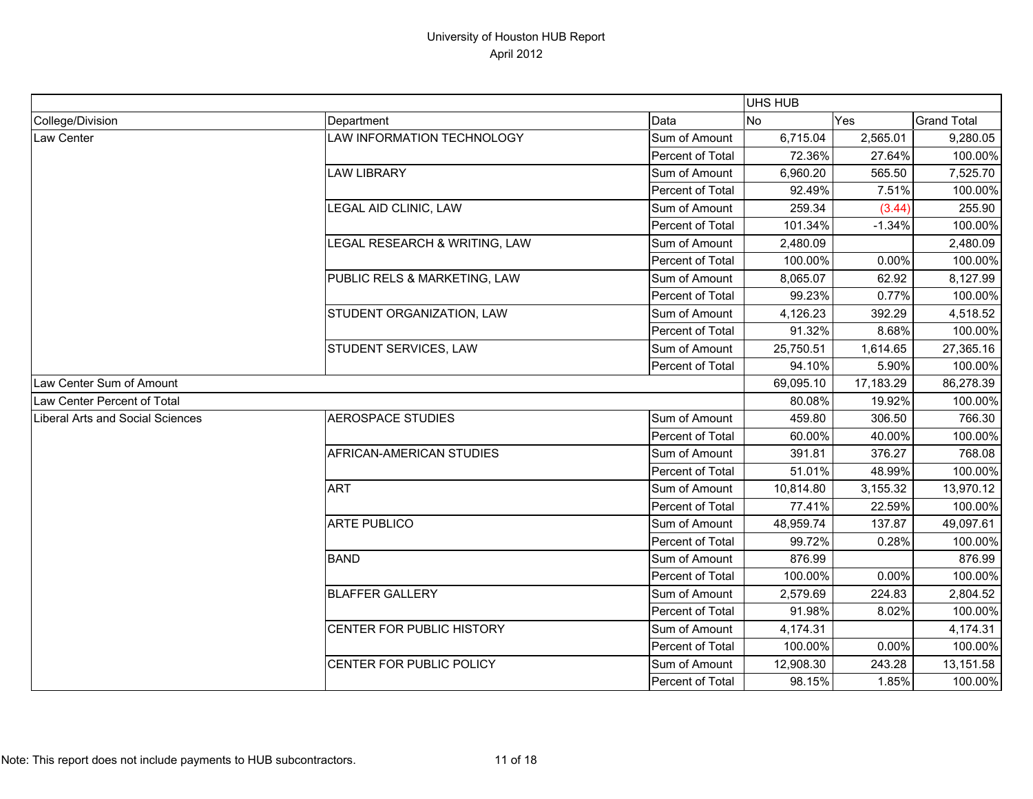|                                         |                               |                  | UHS HUB   |           |                    |
|-----------------------------------------|-------------------------------|------------------|-----------|-----------|--------------------|
| College/Division                        | Department                    | Data             | <b>No</b> | Yes       | <b>Grand Total</b> |
| Law Center                              | LAW INFORMATION TECHNOLOGY    | Sum of Amount    | 6,715.04  | 2,565.01  | 9,280.05           |
|                                         |                               | Percent of Total | 72.36%    | 27.64%    | 100.00%            |
|                                         | <b>LAW LIBRARY</b>            | Sum of Amount    | 6,960.20  | 565.50    | 7,525.70           |
|                                         |                               | Percent of Total | 92.49%    | 7.51%     | 100.00%            |
|                                         | LEGAL AID CLINIC, LAW         | Sum of Amount    | 259.34    | (3.44)    | 255.90             |
|                                         |                               | Percent of Total | 101.34%   | $-1.34%$  | 100.00%            |
|                                         | LEGAL RESEARCH & WRITING, LAW | Sum of Amount    | 2,480.09  |           | 2,480.09           |
|                                         |                               | Percent of Total | 100.00%   | 0.00%     | 100.00%            |
|                                         | PUBLIC RELS & MARKETING, LAW  | Sum of Amount    | 8,065.07  | 62.92     | 8,127.99           |
|                                         |                               | Percent of Total | 99.23%    | 0.77%     | 100.00%            |
|                                         | STUDENT ORGANIZATION, LAW     | Sum of Amount    | 4,126.23  | 392.29    | 4,518.52           |
|                                         |                               | Percent of Total | 91.32%    | 8.68%     | 100.00%            |
|                                         | STUDENT SERVICES, LAW         | Sum of Amount    | 25,750.51 | 1,614.65  | 27,365.16          |
|                                         |                               | Percent of Total | 94.10%    | 5.90%     | 100.00%            |
| Law Center Sum of Amount                |                               |                  | 69,095.10 | 17,183.29 | 86,278.39          |
| Law Center Percent of Total             |                               |                  | 80.08%    | 19.92%    | 100.00%            |
| <b>Liberal Arts and Social Sciences</b> | <b>AEROSPACE STUDIES</b>      | Sum of Amount    | 459.80    | 306.50    | 766.30             |
|                                         |                               | Percent of Total | 60.00%    | 40.00%    | 100.00%            |
|                                         | AFRICAN-AMERICAN STUDIES      | Sum of Amount    | 391.81    | 376.27    | 768.08             |
|                                         |                               | Percent of Total | 51.01%    | 48.99%    | 100.00%            |
|                                         | <b>ART</b>                    | Sum of Amount    | 10,814.80 | 3,155.32  | 13,970.12          |
|                                         |                               | Percent of Total | 77.41%    | 22.59%    | 100.00%            |
|                                         | <b>ARTE PUBLICO</b>           | Sum of Amount    | 48,959.74 | 137.87    | 49,097.61          |
|                                         |                               | Percent of Total | 99.72%    | 0.28%     | 100.00%            |
|                                         | <b>BAND</b>                   | Sum of Amount    | 876.99    |           | 876.99             |
|                                         |                               | Percent of Total | 100.00%   | 0.00%     | 100.00%            |
|                                         | <b>BLAFFER GALLERY</b>        | Sum of Amount    | 2,579.69  | 224.83    | 2,804.52           |
|                                         |                               | Percent of Total | 91.98%    | 8.02%     | 100.00%            |
|                                         | CENTER FOR PUBLIC HISTORY     | Sum of Amount    | 4,174.31  |           | 4,174.31           |
|                                         |                               | Percent of Total | 100.00%   | 0.00%     | 100.00%            |
|                                         | CENTER FOR PUBLIC POLICY      | Sum of Amount    | 12,908.30 | 243.28    | 13,151.58          |
|                                         |                               | Percent of Total | 98.15%    | 1.85%     | 100.00%            |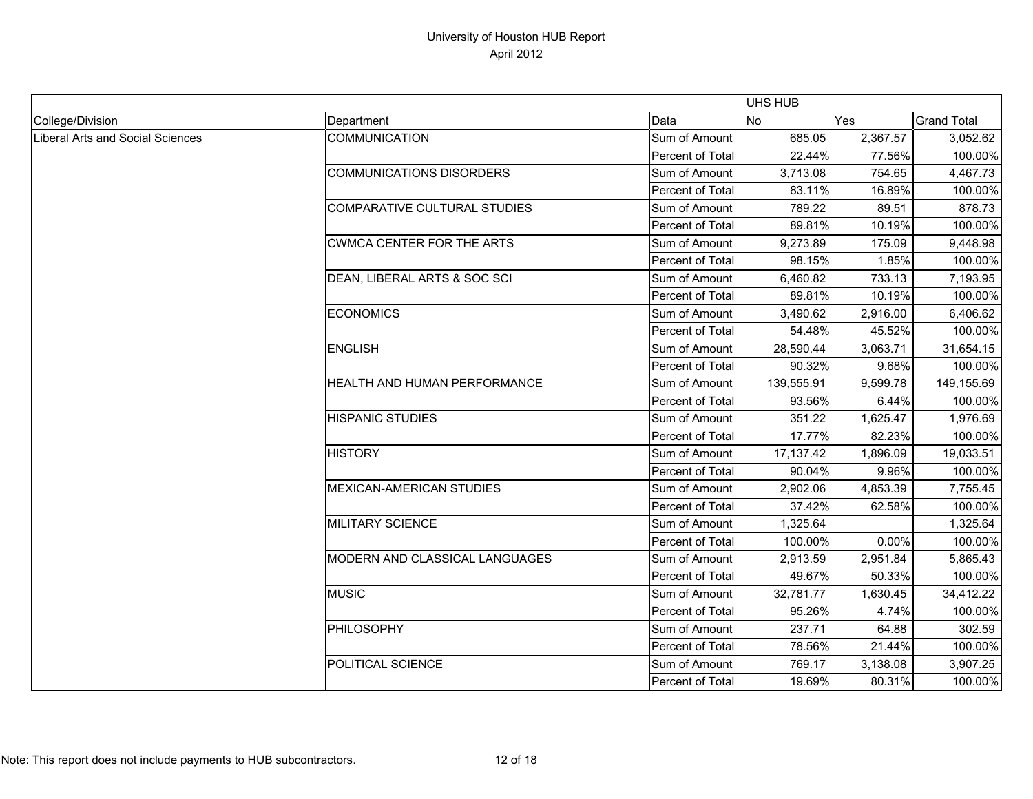|                                  |                                  |                         | <b>UHS HUB</b> |          |                    |
|----------------------------------|----------------------------------|-------------------------|----------------|----------|--------------------|
| College/Division                 | Department                       | Data                    | No             | Yes      | <b>Grand Total</b> |
| Liberal Arts and Social Sciences | <b>COMMUNICATION</b>             | Sum of Amount           | 685.05         | 2,367.57 | 3,052.62           |
|                                  |                                  | <b>Percent of Total</b> | 22.44%         | 77.56%   | 100.00%            |
|                                  | <b>COMMUNICATIONS DISORDERS</b>  | Sum of Amount           | 3,713.08       | 754.65   | 4,467.73           |
|                                  |                                  | Percent of Total        | 83.11%         | 16.89%   | 100.00%            |
|                                  | COMPARATIVE CULTURAL STUDIES     | Sum of Amount           | 789.22         | 89.51    | 878.73             |
|                                  |                                  | Percent of Total        | 89.81%         | 10.19%   | 100.00%            |
|                                  | <b>CWMCA CENTER FOR THE ARTS</b> | Sum of Amount           | 9,273.89       | 175.09   | 9,448.98           |
|                                  |                                  | Percent of Total        | 98.15%         | 1.85%    | 100.00%            |
|                                  | DEAN, LIBERAL ARTS & SOC SCI     | Sum of Amount           | 6,460.82       | 733.13   | 7,193.95           |
|                                  |                                  | Percent of Total        | 89.81%         | 10.19%   | 100.00%            |
|                                  | <b>ECONOMICS</b>                 | Sum of Amount           | 3,490.62       | 2,916.00 | 6,406.62           |
|                                  |                                  | Percent of Total        | 54.48%         | 45.52%   | 100.00%            |
|                                  | <b>ENGLISH</b>                   | Sum of Amount           | 28,590.44      | 3,063.71 | 31,654.15          |
|                                  |                                  | Percent of Total        | 90.32%         | 9.68%    | 100.00%            |
|                                  | HEALTH AND HUMAN PERFORMANCE     | Sum of Amount           | 139,555.91     | 9,599.78 | 149,155.69         |
|                                  |                                  | Percent of Total        | 93.56%         | 6.44%    | 100.00%            |
|                                  | <b>HISPANIC STUDIES</b>          | Sum of Amount           | 351.22         | 1,625.47 | 1,976.69           |
|                                  |                                  | Percent of Total        | 17.77%         | 82.23%   | 100.00%            |
|                                  | <b>HISTORY</b>                   | Sum of Amount           | 17,137.42      | 1,896.09 | 19,033.51          |
|                                  |                                  | Percent of Total        | 90.04%         | 9.96%    | 100.00%            |
|                                  | <b>MEXICAN-AMERICAN STUDIES</b>  | Sum of Amount           | 2,902.06       | 4,853.39 | 7,755.45           |
|                                  |                                  | Percent of Total        | 37.42%         | 62.58%   | 100.00%            |
|                                  | <b>MILITARY SCIENCE</b>          | Sum of Amount           | 1,325.64       |          | 1,325.64           |
|                                  |                                  | Percent of Total        | 100.00%        | 0.00%    | 100.00%            |
|                                  | MODERN AND CLASSICAL LANGUAGES   | Sum of Amount           | 2,913.59       | 2,951.84 | 5,865.43           |
|                                  |                                  | Percent of Total        | 49.67%         | 50.33%   | 100.00%            |
|                                  | <b>MUSIC</b>                     | Sum of Amount           | 32,781.77      | 1,630.45 | 34,412.22          |
|                                  |                                  | Percent of Total        | 95.26%         | 4.74%    | 100.00%            |
|                                  | PHILOSOPHY                       | Sum of Amount           | 237.71         | 64.88    | 302.59             |
|                                  |                                  | Percent of Total        | 78.56%         | 21.44%   | 100.00%            |
|                                  | POLITICAL SCIENCE                | Sum of Amount           | 769.17         | 3,138.08 | 3,907.25           |
|                                  |                                  | Percent of Total        | 19.69%         | 80.31%   | 100.00%            |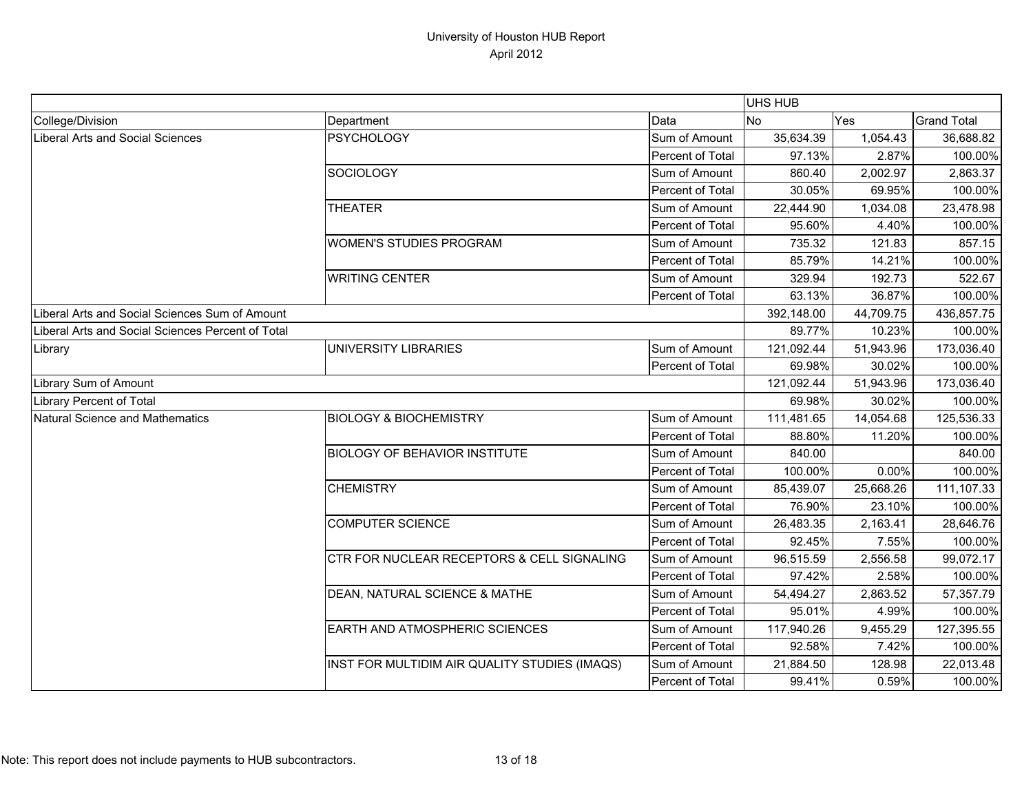|                                                   |                                               |                  | <b>UHS HUB</b> |            |                    |
|---------------------------------------------------|-----------------------------------------------|------------------|----------------|------------|--------------------|
| College/Division                                  | Department                                    | Data             | <b>No</b>      | Yes        | <b>Grand Total</b> |
| <b>Liberal Arts and Social Sciences</b>           | <b>PSYCHOLOGY</b>                             | Sum of Amount    | 35,634.39      | 1,054.43   | 36,688.82          |
|                                                   |                                               | Percent of Total | 97.13%         | 2.87%      | 100.00%            |
|                                                   | <b>SOCIOLOGY</b>                              | Sum of Amount    | 860.40         | 2,002.97   | 2,863.37           |
|                                                   |                                               | Percent of Total | 30.05%         | 69.95%     | 100.00%            |
|                                                   | <b>THEATER</b>                                | Sum of Amount    | 22,444.90      | 1,034.08   | 23,478.98          |
|                                                   |                                               | Percent of Total | 95.60%         | 4.40%      | 100.00%            |
|                                                   | <b>WOMEN'S STUDIES PROGRAM</b>                | Sum of Amount    | 735.32         | 121.83     | 857.15             |
|                                                   |                                               | Percent of Total | 85.79%         | 14.21%     | 100.00%            |
|                                                   | <b>WRITING CENTER</b>                         | Sum of Amount    | 329.94         | 192.73     | 522.67             |
|                                                   |                                               | Percent of Total | 63.13%         | 36.87%     | 100.00%            |
| Liberal Arts and Social Sciences Sum of Amount    |                                               |                  | 392,148.00     | 44,709.75  | 436,857.75         |
| Liberal Arts and Social Sciences Percent of Total |                                               |                  | 89.77%         | 10.23%     | 100.00%            |
| Library                                           | UNIVERSITY LIBRARIES                          | Sum of Amount    | 121,092.44     | 51,943.96  | 173,036.40         |
|                                                   |                                               | Percent of Total | 69.98%         | 30.02%     | 100.00%            |
| Library Sum of Amount                             |                                               | 121,092.44       | 51,943.96      | 173,036.40 |                    |
| Library Percent of Total                          |                                               |                  | 69.98%         | 30.02%     | 100.00%            |
| <b>Natural Science and Mathematics</b>            | <b>BIOLOGY &amp; BIOCHEMISTRY</b>             | Sum of Amount    | 111,481.65     | 14,054.68  | 125,536.33         |
|                                                   |                                               | Percent of Total | 88.80%         | 11.20%     | 100.00%            |
|                                                   | <b>BIOLOGY OF BEHAVIOR INSTITUTE</b>          | Sum of Amount    | 840.00         |            | 840.00             |
|                                                   |                                               | Percent of Total | 100.00%        | 0.00%      | 100.00%            |
|                                                   | <b>CHEMISTRY</b>                              | Sum of Amount    | 85,439.07      | 25,668.26  | 111,107.33         |
|                                                   |                                               | Percent of Total | 76.90%         | 23.10%     | 100.00%            |
|                                                   | <b>COMPUTER SCIENCE</b>                       | Sum of Amount    | 26,483.35      | 2,163.41   | 28,646.76          |
|                                                   |                                               | Percent of Total | 92.45%         | 7.55%      | 100.00%            |
|                                                   | CTR FOR NUCLEAR RECEPTORS & CELL SIGNALING    | Sum of Amount    | 96,515.59      | 2,556.58   | 99,072.17          |
|                                                   |                                               | Percent of Total | 97.42%         | 2.58%      | 100.00%            |
|                                                   | DEAN, NATURAL SCIENCE & MATHE                 | Sum of Amount    | 54,494.27      | 2,863.52   | 57,357.79          |
|                                                   |                                               | Percent of Total | 95.01%         | 4.99%      | 100.00%            |
|                                                   | EARTH AND ATMOSPHERIC SCIENCES                | Sum of Amount    | 117,940.26     | 9,455.29   | 127,395.55         |
|                                                   |                                               | Percent of Total | 92.58%         | 7.42%      | 100.00%            |
|                                                   | INST FOR MULTIDIM AIR QUALITY STUDIES (IMAQS) | Sum of Amount    | 21,884.50      | 128.98     | 22,013.48          |
|                                                   |                                               | Percent of Total | 99.41%         | 0.59%      | 100.00%            |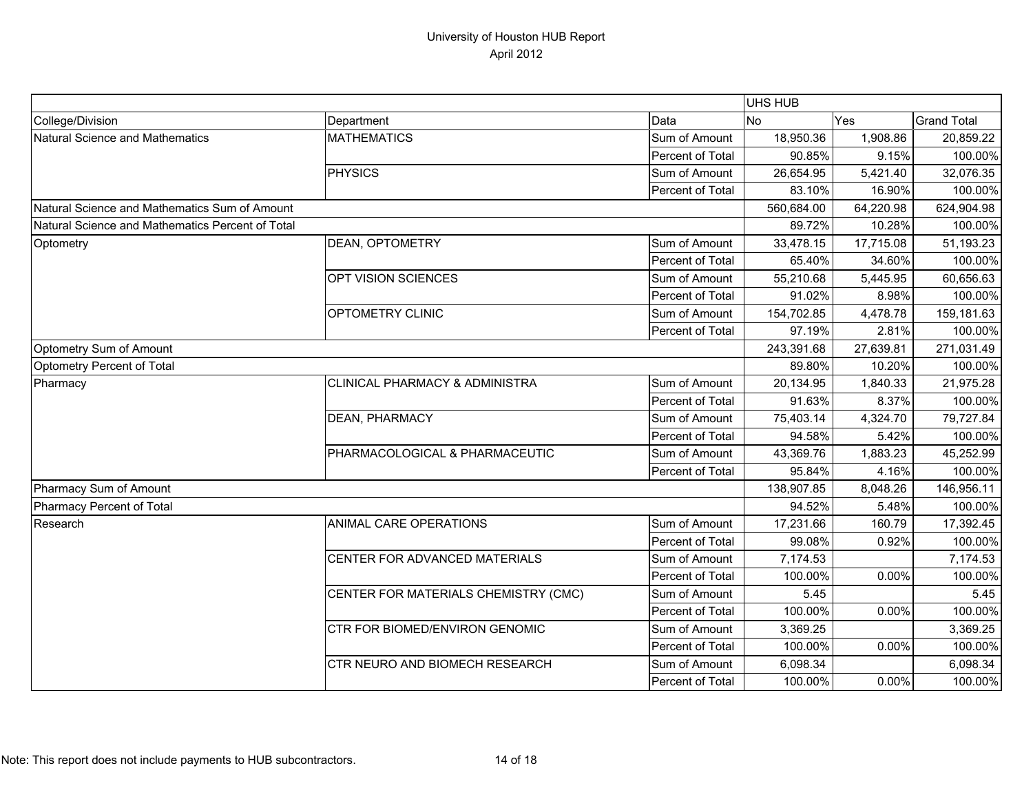|                                                  |                                      |                  | <b>UHS HUB</b> |           |                    |
|--------------------------------------------------|--------------------------------------|------------------|----------------|-----------|--------------------|
| College/Division                                 | Department                           | Data             | <b>No</b>      | Yes       | <b>Grand Total</b> |
| Natural Science and Mathematics                  | <b>MATHEMATICS</b>                   | Sum of Amount    | 18,950.36      | 1,908.86  | 20,859.22          |
|                                                  |                                      | Percent of Total | 90.85%         | 9.15%     | 100.00%            |
|                                                  | <b>PHYSICS</b>                       | Sum of Amount    | 26,654.95      | 5,421.40  | 32,076.35          |
|                                                  |                                      | Percent of Total | 83.10%         | 16.90%    | 100.00%            |
| Natural Science and Mathematics Sum of Amount    |                                      |                  | 560,684.00     | 64,220.98 | 624,904.98         |
| Natural Science and Mathematics Percent of Total |                                      |                  | 89.72%         | 10.28%    | 100.00%            |
| Optometry                                        | DEAN, OPTOMETRY                      | Sum of Amount    | 33,478.15      | 17,715.08 | 51,193.23          |
|                                                  |                                      | Percent of Total | 65.40%         | 34.60%    | 100.00%            |
|                                                  | OPT VISION SCIENCES                  | Sum of Amount    | 55,210.68      | 5,445.95  | 60,656.63          |
|                                                  |                                      | Percent of Total | 91.02%         | 8.98%     | 100.00%            |
|                                                  | OPTOMETRY CLINIC                     | Sum of Amount    | 154,702.85     | 4,478.78  | 159,181.63         |
|                                                  |                                      | Percent of Total | 97.19%         | 2.81%     | 100.00%            |
| Optometry Sum of Amount                          |                                      |                  | 243,391.68     | 27,639.81 | 271,031.49         |
| Optometry Percent of Total                       |                                      |                  | 89.80%         | 10.20%    | 100.00%            |
| Pharmacy                                         | CLINICAL PHARMACY & ADMINISTRA       | Sum of Amount    | 20,134.95      | 1,840.33  | 21,975.28          |
|                                                  |                                      | Percent of Total | 91.63%         | 8.37%     | 100.00%            |
|                                                  | DEAN, PHARMACY                       | Sum of Amount    | 75,403.14      | 4,324.70  | 79,727.84          |
|                                                  |                                      | Percent of Total | 94.58%         | 5.42%     | 100.00%            |
|                                                  | PHARMACOLOGICAL & PHARMACEUTIC       | Sum of Amount    | 43,369.76      | 1,883.23  | 45,252.99          |
|                                                  |                                      | Percent of Total | 95.84%         | 4.16%     | 100.00%            |
| Pharmacy Sum of Amount                           |                                      |                  | 138,907.85     | 8,048.26  | 146,956.11         |
| Pharmacy Percent of Total                        |                                      |                  | 94.52%         | 5.48%     | 100.00%            |
| Research                                         | ANIMAL CARE OPERATIONS               | Sum of Amount    | 17,231.66      | 160.79    | 17,392.45          |
|                                                  |                                      | Percent of Total | 99.08%         | 0.92%     | 100.00%            |
|                                                  | CENTER FOR ADVANCED MATERIALS        | Sum of Amount    | 7,174.53       |           | 7,174.53           |
|                                                  |                                      | Percent of Total | 100.00%        | 0.00%     | 100.00%            |
|                                                  | CENTER FOR MATERIALS CHEMISTRY (CMC) | Sum of Amount    | 5.45           |           | 5.45               |
|                                                  |                                      | Percent of Total | 100.00%        | 0.00%     | 100.00%            |
|                                                  | CTR FOR BIOMED/ENVIRON GENOMIC       | Sum of Amount    | 3,369.25       |           | 3,369.25           |
|                                                  |                                      | Percent of Total | 100.00%        | 0.00%     | 100.00%            |
|                                                  | CTR NEURO AND BIOMECH RESEARCH       | Sum of Amount    | 6,098.34       |           | 6,098.34           |
|                                                  |                                      | Percent of Total | 100.00%        | 0.00%     | 100.00%            |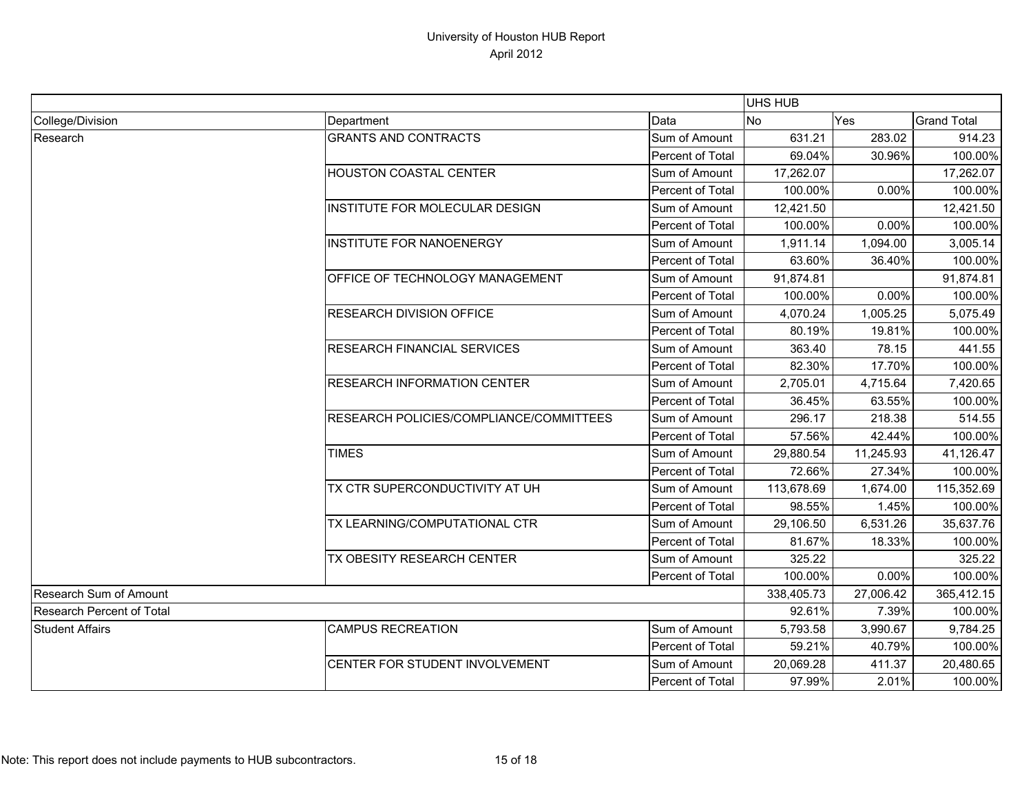|                                  |                                         |                         | UHS HUB    |            |                    |
|----------------------------------|-----------------------------------------|-------------------------|------------|------------|--------------------|
| College/Division                 | Department                              | Data                    | No         | Yes        | <b>Grand Total</b> |
| Research                         | <b>GRANTS AND CONTRACTS</b>             | Sum of Amount           | 631.21     | 283.02     | 914.23             |
|                                  |                                         | Percent of Total        | 69.04%     | 30.96%     | 100.00%            |
|                                  | <b>HOUSTON COASTAL CENTER</b>           | Sum of Amount           | 17,262.07  |            | 17,262.07          |
|                                  |                                         | Percent of Total        | 100.00%    | 0.00%      | 100.00%            |
|                                  | INSTITUTE FOR MOLECULAR DESIGN          | Sum of Amount           | 12,421.50  |            | 12,421.50          |
|                                  |                                         | Percent of Total        | 100.00%    | 0.00%      | 100.00%            |
|                                  | <b>INSTITUTE FOR NANOENERGY</b>         | Sum of Amount           | 1,911.14   | 1,094.00   | 3,005.14           |
|                                  |                                         | <b>Percent of Total</b> | 63.60%     | 36.40%     | 100.00%            |
|                                  | OFFICE OF TECHNOLOGY MANAGEMENT         | Sum of Amount           | 91,874.81  |            | 91,874.81          |
|                                  |                                         | Percent of Total        | 100.00%    | 0.00%      | 100.00%            |
|                                  | <b>RESEARCH DIVISION OFFICE</b>         | Sum of Amount           | 4,070.24   | 1,005.25   | 5,075.49           |
|                                  |                                         | Percent of Total        | 80.19%     | 19.81%     | 100.00%            |
|                                  | RESEARCH FINANCIAL SERVICES             | Sum of Amount           | 363.40     | 78.15      | 441.55             |
|                                  |                                         | Percent of Total        | 82.30%     | 17.70%     | 100.00%            |
|                                  | <b>RESEARCH INFORMATION CENTER</b>      | Sum of Amount           | 2,705.01   | 4,715.64   | 7,420.65           |
|                                  |                                         | <b>Percent of Total</b> | 36.45%     | 63.55%     | 100.00%            |
|                                  | RESEARCH POLICIES/COMPLIANCE/COMMITTEES | Sum of Amount           | 296.17     | 218.38     | 514.55             |
|                                  |                                         | Percent of Total        | 57.56%     | 42.44%     | 100.00%            |
|                                  | <b>TIMES</b>                            | Sum of Amount           | 29,880.54  | 11,245.93  | 41,126.47          |
|                                  |                                         | Percent of Total        | 72.66%     | 27.34%     | 100.00%            |
|                                  | TX CTR SUPERCONDUCTIVITY AT UH          | Sum of Amount           | 113,678.69 | 1,674.00   | 115,352.69         |
|                                  |                                         | Percent of Total        | 98.55%     | 1.45%      | 100.00%            |
|                                  | TX LEARNING/COMPUTATIONAL CTR           | Sum of Amount           | 29,106.50  | 6,531.26   | 35,637.76          |
|                                  |                                         | Percent of Total        | 81.67%     | 18.33%     | 100.00%            |
|                                  | TX OBESITY RESEARCH CENTER              | Sum of Amount           | 325.22     |            | 325.22             |
|                                  |                                         | Percent of Total        | 100.00%    | 0.00%      | 100.00%            |
| <b>Research Sum of Amount</b>    |                                         | 338,405.73              | 27,006.42  | 365,412.15 |                    |
| <b>Research Percent of Total</b> |                                         | 92.61%                  | 7.39%      | 100.00%    |                    |
| <b>Student Affairs</b>           | <b>CAMPUS RECREATION</b>                | Sum of Amount           | 5,793.58   | 3,990.67   | 9,784.25           |
|                                  |                                         | Percent of Total        | 59.21%     | 40.79%     | 100.00%            |
|                                  | CENTER FOR STUDENT INVOLVEMENT          | Sum of Amount           | 20,069.28  | 411.37     | 20,480.65          |
|                                  |                                         | Percent of Total        | 97.99%     | 2.01%      | 100.00%            |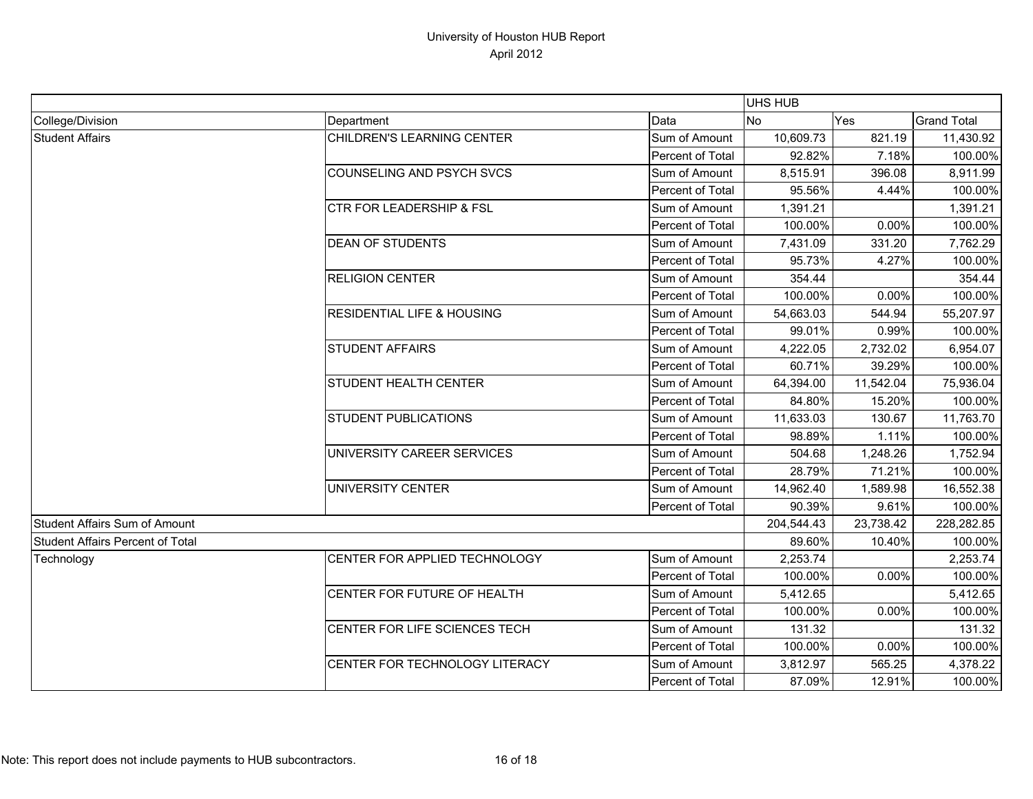|                                      |                                       |                  | <b>UHS HUB</b> |           |                    |
|--------------------------------------|---------------------------------------|------------------|----------------|-----------|--------------------|
| College/Division                     | Department                            | Data             | <b>No</b>      | Yes       | <b>Grand Total</b> |
| <b>Student Affairs</b>               | CHILDREN'S LEARNING CENTER            | Sum of Amount    | 10,609.73      | 821.19    | 11,430.92          |
|                                      |                                       | Percent of Total | 92.82%         | 7.18%     | 100.00%            |
|                                      | COUNSELING AND PSYCH SVCS             | Sum of Amount    | 8,515.91       | 396.08    | 8,911.99           |
|                                      |                                       | Percent of Total | 95.56%         | 4.44%     | 100.00%            |
|                                      | <b>CTR FOR LEADERSHIP &amp; FSL</b>   | Sum of Amount    | 1,391.21       |           | 1,391.21           |
|                                      |                                       | Percent of Total | 100.00%        | 0.00%     | 100.00%            |
|                                      | <b>DEAN OF STUDENTS</b>               | Sum of Amount    | 7,431.09       | 331.20    | 7,762.29           |
|                                      |                                       | Percent of Total | 95.73%         | 4.27%     | 100.00%            |
|                                      | <b>RELIGION CENTER</b>                | Sum of Amount    | 354.44         |           | 354.44             |
|                                      |                                       | Percent of Total | 100.00%        | 0.00%     | 100.00%            |
|                                      | <b>RESIDENTIAL LIFE &amp; HOUSING</b> | Sum of Amount    | 54,663.03      | 544.94    | 55,207.97          |
|                                      |                                       | Percent of Total | 99.01%         | 0.99%     | 100.00%            |
|                                      | <b>STUDENT AFFAIRS</b>                | Sum of Amount    | 4,222.05       | 2,732.02  | 6,954.07           |
|                                      |                                       | Percent of Total | 60.71%         | 39.29%    | 100.00%            |
|                                      | <b>STUDENT HEALTH CENTER</b>          | Sum of Amount    | 64,394.00      | 11,542.04 | 75,936.04          |
|                                      |                                       | Percent of Total | 84.80%         | 15.20%    | 100.00%            |
|                                      | <b>STUDENT PUBLICATIONS</b>           | Sum of Amount    | 11,633.03      | 130.67    | 11,763.70          |
|                                      |                                       | Percent of Total | 98.89%         | 1.11%     | 100.00%            |
|                                      | UNIVERSITY CAREER SERVICES            | Sum of Amount    | 504.68         | 1,248.26  | 1,752.94           |
|                                      |                                       | Percent of Total | 28.79%         | 71.21%    | 100.00%            |
|                                      | UNIVERSITY CENTER                     | Sum of Amount    | 14,962.40      | 1,589.98  | 16,552.38          |
|                                      |                                       | Percent of Total | 90.39%         | 9.61%     | 100.00%            |
| <b>Student Affairs Sum of Amount</b> |                                       |                  | 204,544.43     | 23,738.42 | 228,282.85         |
| Student Affairs Percent of Total     |                                       |                  | 89.60%         | 10.40%    | 100.00%            |
| Technology                           | CENTER FOR APPLIED TECHNOLOGY         | Sum of Amount    | 2,253.74       |           | 2,253.74           |
|                                      |                                       | Percent of Total | 100.00%        | 0.00%     | 100.00%            |
|                                      | CENTER FOR FUTURE OF HEALTH           | Sum of Amount    | 5,412.65       |           | 5,412.65           |
|                                      |                                       | Percent of Total | 100.00%        | 0.00%     | 100.00%            |
|                                      | CENTER FOR LIFE SCIENCES TECH         | Sum of Amount    | 131.32         |           | 131.32             |
|                                      |                                       | Percent of Total | 100.00%        | 0.00%     | 100.00%            |
|                                      | CENTER FOR TECHNOLOGY LITERACY        | Sum of Amount    | 3,812.97       | 565.25    | 4,378.22           |
|                                      |                                       | Percent of Total | 87.09%         | 12.91%    | 100.00%            |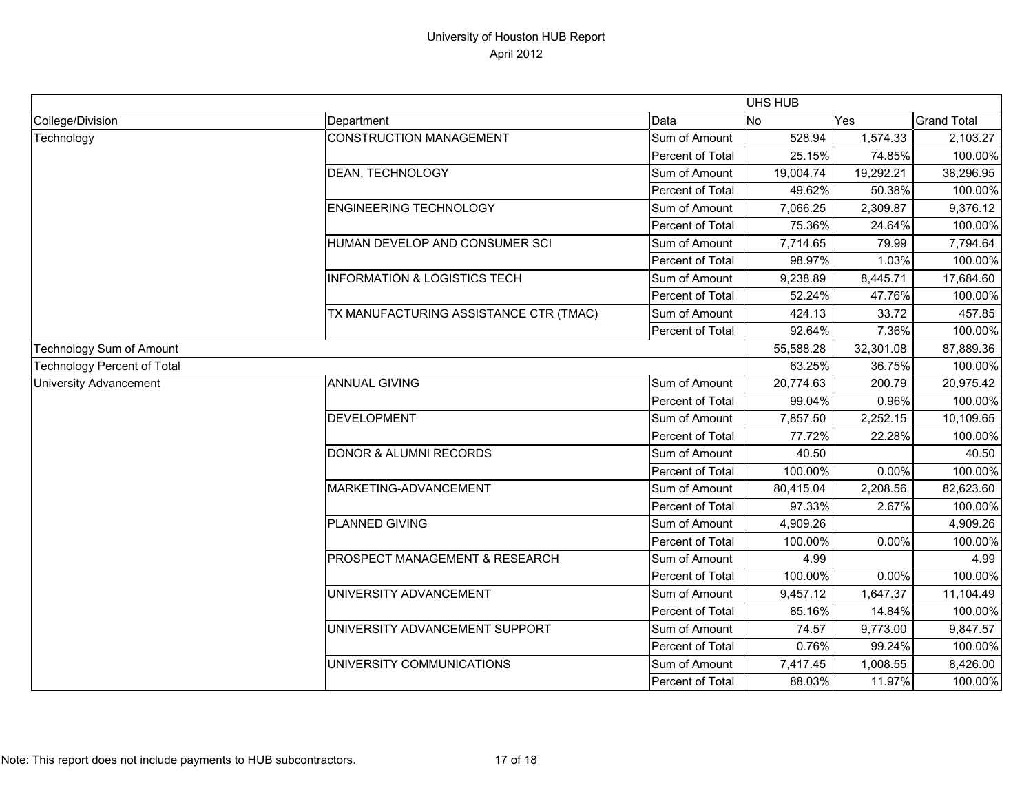|                                    |                                         |                  | <b>UHS HUB</b> |           |                    |
|------------------------------------|-----------------------------------------|------------------|----------------|-----------|--------------------|
| College/Division                   | Department                              | Data             | No             | Yes       | <b>Grand Total</b> |
| Technology                         | <b>CONSTRUCTION MANAGEMENT</b>          | Sum of Amount    | 528.94         | 1,574.33  | 2,103.27           |
|                                    |                                         | Percent of Total | 25.15%         | 74.85%    | 100.00%            |
|                                    | DEAN, TECHNOLOGY                        | Sum of Amount    | 19,004.74      | 19,292.21 | 38,296.95          |
|                                    |                                         | Percent of Total | 49.62%         | 50.38%    | 100.00%            |
|                                    | <b>ENGINEERING TECHNOLOGY</b>           | Sum of Amount    | 7,066.25       | 2,309.87  | 9,376.12           |
|                                    |                                         | Percent of Total | 75.36%         | 24.64%    | 100.00%            |
|                                    | HUMAN DEVELOP AND CONSUMER SCI          | Sum of Amount    | 7,714.65       | 79.99     | 7,794.64           |
|                                    |                                         | Percent of Total | 98.97%         | 1.03%     | 100.00%            |
|                                    | <b>INFORMATION &amp; LOGISTICS TECH</b> | Sum of Amount    | 9,238.89       | 8,445.71  | 17,684.60          |
|                                    |                                         | Percent of Total | 52.24%         | 47.76%    | 100.00%            |
|                                    | TX MANUFACTURING ASSISTANCE CTR (TMAC)  | Sum of Amount    | 424.13         | 33.72     | 457.85             |
|                                    |                                         | Percent of Total | 92.64%         | 7.36%     | 100.00%            |
| Technology Sum of Amount           |                                         |                  | 55,588.28      | 32,301.08 | 87,889.36          |
| <b>Technology Percent of Total</b> |                                         |                  | 63.25%         | 36.75%    | 100.00%            |
| <b>University Advancement</b>      | <b>ANNUAL GIVING</b>                    | Sum of Amount    | 20,774.63      | 200.79    | 20,975.42          |
|                                    |                                         | Percent of Total | 99.04%         | 0.96%     | 100.00%            |
|                                    | <b>DEVELOPMENT</b>                      | Sum of Amount    | 7,857.50       | 2,252.15  | 10,109.65          |
|                                    |                                         | Percent of Total | 77.72%         | 22.28%    | 100.00%            |
|                                    | <b>DONOR &amp; ALUMNI RECORDS</b>       | Sum of Amount    | 40.50          |           | 40.50              |
|                                    |                                         | Percent of Total | 100.00%        | 0.00%     | 100.00%            |
|                                    | MARKETING-ADVANCEMENT                   | Sum of Amount    | 80,415.04      | 2,208.56  | 82,623.60          |
|                                    |                                         | Percent of Total | 97.33%         | 2.67%     | 100.00%            |
|                                    | <b>PLANNED GIVING</b>                   | Sum of Amount    | 4,909.26       |           | 4,909.26           |
|                                    |                                         | Percent of Total | 100.00%        | 0.00%     | 100.00%            |
|                                    | PROSPECT MANAGEMENT & RESEARCH          | Sum of Amount    | 4.99           |           | 4.99               |
|                                    |                                         | Percent of Total | 100.00%        | 0.00%     | 100.00%            |
|                                    | UNIVERSITY ADVANCEMENT                  | Sum of Amount    | 9,457.12       | 1,647.37  | 11,104.49          |
|                                    |                                         | Percent of Total | 85.16%         | 14.84%    | 100.00%            |
|                                    | UNIVERSITY ADVANCEMENT SUPPORT          | Sum of Amount    | 74.57          | 9,773.00  | 9,847.57           |
|                                    |                                         | Percent of Total | 0.76%          | 99.24%    | 100.00%            |
|                                    | UNIVERSITY COMMUNICATIONS               | Sum of Amount    | 7,417.45       | 1,008.55  | 8,426.00           |
|                                    |                                         | Percent of Total | 88.03%         | 11.97%    | 100.00%            |